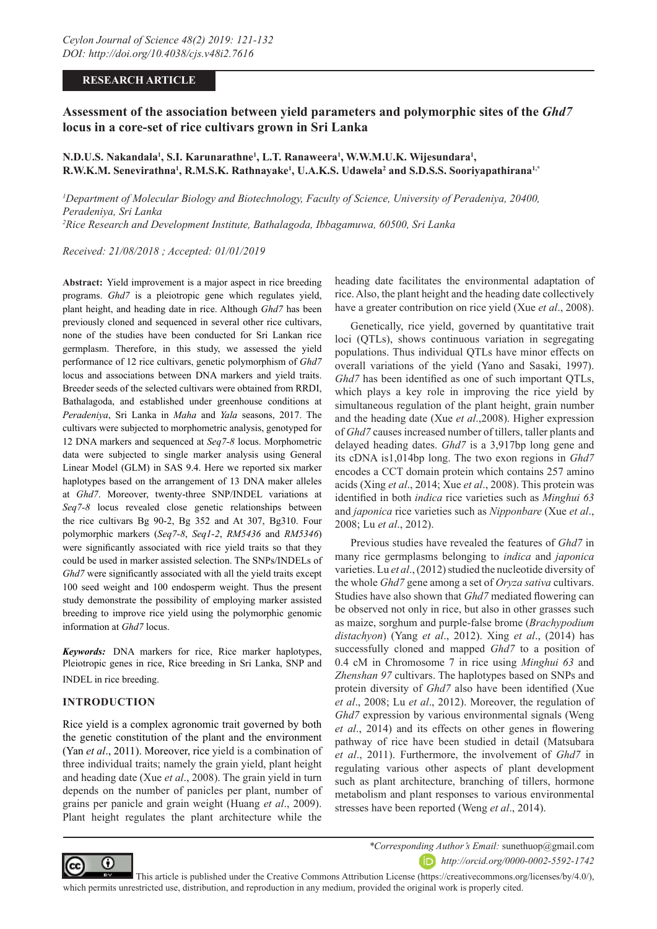## **RESEARCH ARTICLE**

# **Assessment of the association between yield parameters and polymorphic sites of the** *Ghd7*  **locus in a core-set of rice cultivars grown in Sri Lanka**

## <code>N.D.U.S. Nakandala $^1$ , S.I. Karunarathne $^1$ , L.T. Ranaweera $^1$ , W.W.M.U.K. Wijesundara $^1$ ,</code> **R.W.K.M. Senevirathna1 , R.M.S.K. Rathnayake1 , U.A.K.S. Udawela2 and S.D.S.S. Sooriyapathirana1,\***

*1 Department of Molecular Biology and Biotechnology, Faculty of Science, University of Peradeniya, 20400, Peradeniya, Sri Lanka 2 Rice Research and Development Institute, Bathalagoda, Ibbagamuwa, 60500, Sri Lanka*

*Received: 21/08/2018 ; Accepted: 01/01/2019*

**Abstract:** Yield improvement is a major aspect in rice breeding programs. *Ghd7* is a pleiotropic gene which regulates yield, plant height, and heading date in rice. Although *Ghd7* has been previously cloned and sequenced in several other rice cultivars, none of the studies have been conducted for Sri Lankan rice germplasm. Therefore, in this study, we assessed the yield performance of 12 rice cultivars, genetic polymorphism of *Ghd7* locus and associations between DNA markers and yield traits. Breeder seeds of the selected cultivars were obtained from RRDI, Bathalagoda, and established under greenhouse conditions at *Peradeniya*, Sri Lanka in *Maha* and *Yala* seasons, 2017. The cultivars were subjected to morphometric analysis, genotyped for 12 DNA markers and sequenced at *Seq7-8* locus. Morphometric data were subjected to single marker analysis using General Linear Model (GLM) in SAS 9.4. Here we reported six marker haplotypes based on the arrangement of 13 DNA maker alleles at *Ghd7*. Moreover, twenty-three SNP/INDEL variations at *Seq7-8* locus revealed close genetic relationships between the rice cultivars Bg 90-2, Bg 352 and At 307, Bg310. Four polymorphic markers (*Seq7-8*, *Seq1-2*, *RM5436* and *RM5346*) were significantly associated with rice yield traits so that they could be used in marker assisted selection. The SNPs/INDELs of *Ghd7* were significantly associated with all the yield traits except 100 seed weight and 100 endosperm weight. Thus the present study demonstrate the possibility of employing marker assisted breeding to improve rice yield using the polymorphic genomic information at *Ghd7* locus.

*Keywords:* DNA markers for rice, Rice marker haplotypes, Pleiotropic genes in rice, Rice breeding in Sri Lanka, SNP and INDEL in rice breeding.

### **INTRODUCTION**

Rice yield is a complex agronomic trait governed by both the genetic constitution of the plant and the environment (Yan *et al*., 2011). Moreover, rice yield is a combination of three individual traits; namely the grain yield, plant height and heading date (Xue *et al*., 2008). The grain yield in turn depends on the number of panicles per plant, number of grains per panicle and grain weight (Huang *et al*., 2009). Plant height regulates the plant architecture while the

heading date facilitates the environmental adaptation of rice. Also, the plant height and the heading date collectively have a greater contribution on rice yield (Xue *et al*., 2008).

Genetically, rice yield, governed by quantitative trait loci (QTLs), shows continuous variation in segregating populations. Thus individual QTLs have minor effects on overall variations of the yield (Yano and Sasaki, 1997). *Ghd7* has been identified as one of such important QTLs, which plays a key role in improving the rice yield by simultaneous regulation of the plant height, grain number and the heading date (Xue *et al*.,2008). Higher expression of *Ghd7* causes increased number of tillers, taller plants and delayed heading dates. *Ghd7* is a 3,917bp long gene and its cDNA is1,014bp long. The two exon regions in *Ghd7*  encodes a CCT domain protein which contains 257 amino acids (Xing *et al*., 2014; Xue *et al*., 2008). This protein was identified in both *indica* rice varieties such as *Minghui 63* and *japonica* rice varieties such as *Nipponbare* (Xue *et al*., 2008; Lu *et al*., 2012).

Previous studies have revealed the features of *Ghd7* in many rice germplasms belonging to *indica* and *japonica*  varieties. Lu *et al*., (2012) studied the nucleotide diversity of the whole *Ghd7* gene among a set of *Oryza sativa* cultivars. Studies have also shown that *Ghd7* mediated flowering can be observed not only in rice, but also in other grasses such as maize, sorghum and purple-false brome (*Brachypodium distachyon*) (Yang *et al*., 2012). Xing *et al*., (2014) has successfully cloned and mapped *Ghd7* to a position of 0.4 cM in Chromosome 7 in rice using *Minghui 63* and *Zhenshan 97* cultivars. The haplotypes based on SNPs and protein diversity of *Ghd7* also have been identified (Xue *et al*., 2008; Lu *et al*., 2012). Moreover, the regulation of *Ghd7* expression by various environmental signals (Weng *et al*., 2014) and its effects on other genes in flowering pathway of rice have been studied in detail (Matsubara *et al*., 2011). Furthermore, the involvement of *Ghd7* in regulating various other aspects of plant development such as plant architecture, branching of tillers, hormone metabolism and plant responses to various environmental stresses have been reported (Weng *et al*., 2014).



*\*Corresponding Author's Email:* sunethuop@gmail.com *http://orcid.org/0000-0002-5592-1742*

 This article is published under the Creative Commons Attribution License (https://creativecommons.org/licenses/by/4.0/), which permits unrestricted use, distribution, and reproduction in any medium, provided the original work is properly cited.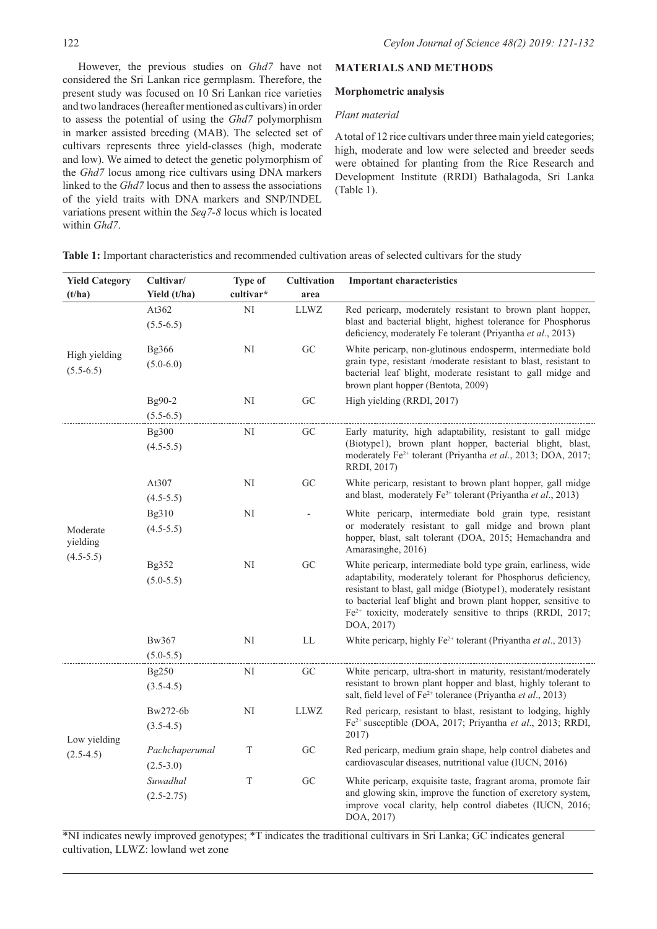However, the previous studies on *Ghd7* have not considered the Sri Lankan rice germplasm. Therefore, the present study was focused on 10 Sri Lankan rice varieties and two landraces (hereafter mentioned as cultivars) in order to assess the potential of using the *Ghd7* polymorphism in marker assisted breeding (MAB). The selected set of cultivars represents three yield-classes (high, moderate and low). We aimed to detect the genetic polymorphism of the *Ghd7* locus among rice cultivars using DNA markers linked to the *Ghd7* locus and then to assess the associations of the yield traits with DNA markers and SNP/INDEL variations present within the *Seq7-8* locus which is located within *Ghd7*.

## **MATERIALS AND METHODS**

### **Morphometric analysis**

## *Plant material*

A total of 12 rice cultivars under three main yield categories; high, moderate and low were selected and breeder seeds were obtained for planting from the Rice Research and Development Institute (RRDI) Bathalagoda, Sri Lanka (Table 1).

**Table 1:** Important characteristics and recommended cultivation areas of selected cultivars for the study

| <b>Yield Category</b><br>(t/ha)                                                                      | Cultivar/<br>Yield (t/ha)     | <b>Type of</b><br>cultivar* | <b>Cultivation</b><br>area | <b>Important characteristics</b>                                                                                                                                                                                                                                                                                                                |
|------------------------------------------------------------------------------------------------------|-------------------------------|-----------------------------|----------------------------|-------------------------------------------------------------------------------------------------------------------------------------------------------------------------------------------------------------------------------------------------------------------------------------------------------------------------------------------------|
|                                                                                                      | At362<br>$(5.5-6.5)$          | NI                          | LLWZ                       | Red pericarp, moderately resistant to brown plant hopper,<br>blast and bacterial blight, highest tolerance for Phosphorus<br>deficiency, moderately Fe tolerant (Priyantha et al., 2013)                                                                                                                                                        |
| High yielding<br>$(5.5-6.5)$<br>Moderate<br>yielding<br>$(4.5 - 5.5)$<br>Low yielding<br>$(2.5-4.5)$ | <b>Bg366</b><br>$(5.0 - 6.0)$ | NI                          | ${\rm GC}$                 | White pericarp, non-glutinous endosperm, intermediate bold<br>grain type, resistant /moderate resistant to blast, resistant to<br>bacterial leaf blight, moderate resistant to gall midge and<br>brown plant hopper (Bentota, 2009)                                                                                                             |
|                                                                                                      | Bg90-2<br>$(5.5-6.5)$         | NI                          | GC                         | High yielding (RRDI, 2017)                                                                                                                                                                                                                                                                                                                      |
|                                                                                                      | Bg300<br>$(4.5 - 5.5)$        | NI                          | GC                         | Early maturity, high adaptability, resistant to gall midge<br>(Biotype1), brown plant hopper, bacterial blight, blast,<br>moderately Fe <sup>2+</sup> tolerant (Priyantha et al., 2013; DOA, 2017;<br>RRDI, 2017)                                                                                                                               |
|                                                                                                      | At307<br>$(4.5-5.5)$          | NI                          | GC                         | White pericarp, resistant to brown plant hopper, gall midge<br>and blast, moderately Fe <sup>3+</sup> tolerant (Priyantha et al., 2013)                                                                                                                                                                                                         |
|                                                                                                      | Bg310<br>$(4.5 - 5.5)$        | NI                          |                            | White pericarp, intermediate bold grain type, resistant<br>or moderately resistant to gall midge and brown plant<br>hopper, blast, salt tolerant (DOA, 2015; Hemachandra and<br>Amarasinghe, 2016)                                                                                                                                              |
|                                                                                                      | Bg352<br>$(5.0 - 5.5)$        | NI                          | GC                         | White pericarp, intermediate bold type grain, earliness, wide<br>adaptability, moderately tolerant for Phosphorus deficiency,<br>resistant to blast, gall midge (Biotype1), moderately resistant<br>to bacterial leaf blight and brown plant hopper, sensitive to<br>$Fe2+$ toxicity, moderately sensitive to thrips (RRDI, 2017;<br>DOA, 2017) |
|                                                                                                      | Bw367<br>$(5.0 - 5.5)$        | $\rm NI$                    | $\mathop{\rm LL}\nolimits$ | White pericarp, highly Fe <sup>2+</sup> tolerant (Priyantha et al., 2013)                                                                                                                                                                                                                                                                       |
|                                                                                                      | Bg250<br>$(3.5-4.5)$          | NI                          | GC                         | White pericarp, ultra-short in maturity, resistant/moderately<br>resistant to brown plant hopper and blast, highly tolerant to<br>salt, field level of $Fe^{2+}$ tolerance (Priyantha <i>et al.</i> , 2013)                                                                                                                                     |
|                                                                                                      | Bw272-6b<br>$(3.5-4.5)$       | NI                          | <b>LLWZ</b>                | Red pericarp, resistant to blast, resistant to lodging, highly<br>Fe <sup>2+</sup> susceptible (DOA, 2017; Priyantha et al., 2013; RRDI,<br>2017)                                                                                                                                                                                               |
|                                                                                                      | Pachchaperumal<br>$(2.5-3.0)$ | T                           | GC                         | Red pericarp, medium grain shape, help control diabetes and<br>cardiovascular diseases, nutritional value (IUCN, 2016)                                                                                                                                                                                                                          |
|                                                                                                      | Suwadhal<br>$(2.5 - 2.75)$    | $\mathbf T$                 | GC                         | White pericarp, exquisite taste, fragrant aroma, promote fair<br>and glowing skin, improve the function of excretory system,<br>improve vocal clarity, help control diabetes (IUCN, 2016;<br>DOA, 2017)                                                                                                                                         |

\*NI indicates newly improved genotypes; \*T indicates the traditional cultivars in Sri Lanka; GC indicates general cultivation, LLWZ: lowland wet zone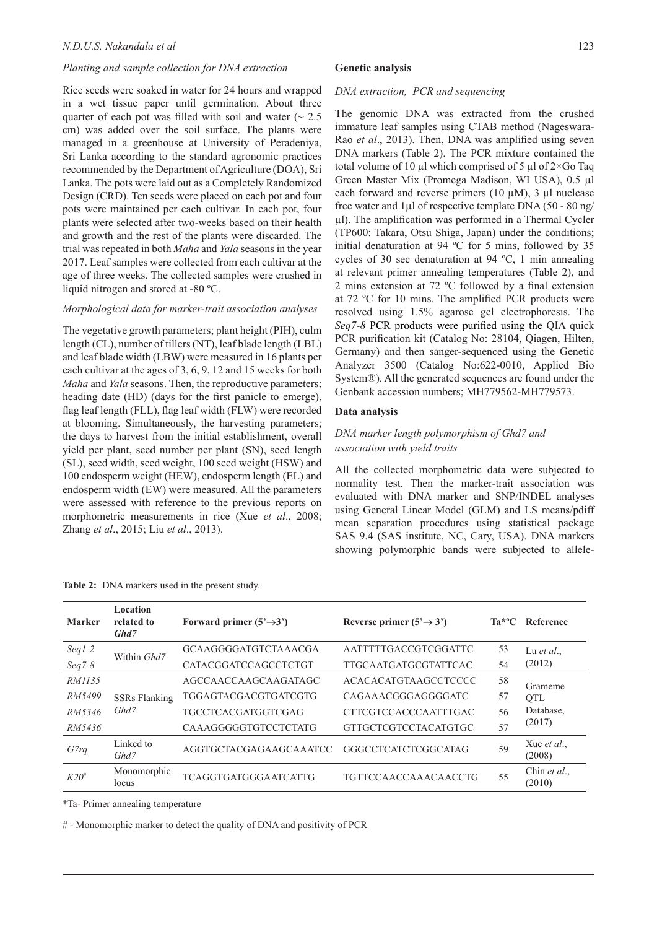### *Planting and sample collection for DNA extraction*

Rice seeds were soaked in water for 24 hours and wrapped in a wet tissue paper until germination. About three quarter of each pot was filled with soil and water  $($   $\sim$  2.5 cm) was added over the soil surface. The plants were managed in a greenhouse at University of Peradeniya, Sri Lanka according to the standard agronomic practices recommended by the Department of Agriculture (DOA), Sri Lanka. The pots were laid out as a Completely Randomized Design (CRD). Ten seeds were placed on each pot and four pots were maintained per each cultivar. In each pot, four plants were selected after two-weeks based on their health and growth and the rest of the plants were discarded. The trial was repeated in both *Maha* and *Yala* seasons in the year 2017. Leaf samples were collected from each cultivar at the age of three weeks. The collected samples were crushed in liquid nitrogen and stored at -80 ºC.

### *Morphological data for marker-trait association analyses*

The vegetative growth parameters; plant height (PIH), culm length (CL), number of tillers (NT), leaf blade length (LBL) and leaf blade width (LBW) were measured in 16 plants per each cultivar at the ages of 3, 6, 9, 12 and 15 weeks for both *Maha* and *Yala* seasons. Then, the reproductive parameters; heading date (HD) (days for the first panicle to emerge), flag leaf length (FLL), flag leaf width (FLW) were recorded at blooming. Simultaneously, the harvesting parameters; the days to harvest from the initial establishment, overall yield per plant, seed number per plant (SN), seed length (SL), seed width, seed weight, 100 seed weight (HSW) and 100 endosperm weight (HEW), endosperm length (EL) and endosperm width (EW) were measured. All the parameters were assessed with reference to the previous reports on morphometric measurements in rice (Xue *et al*., 2008; Zhang *et al*., 2015; Liu *et al*., 2013).

**Table 2:** DNA markers used in the present study.

#### **Genetic analysis**

#### *DNA extraction, PCR and sequencing*

The genomic DNA was extracted from the crushed immature leaf samples using CTAB method (Nageswara-Rao *et al*., 2013). Then, DNA was amplified using seven DNA markers (Table 2). The PCR mixture contained the total volume of 10 µl which comprised of 5 µl of  $2\times$ Go Taq Green Master Mix (Promega Madison, WI USA), 0.5 µl each forward and reverse primers (10  $\mu$ M), 3  $\mu$ l nuclease free water and 1µl of respective template DNA (50 - 80 ng/ µl). The amplification was performed in a Thermal Cycler (TP600: Takara, Otsu Shiga, Japan) under the conditions; initial denaturation at 94 ºC for 5 mins, followed by 35 cycles of 30 sec denaturation at 94 ºC, 1 min annealing at relevant primer annealing temperatures (Table 2), and 2 mins extension at 72 ºC followed by a final extension at 72 ºC for 10 mins. The amplified PCR products were resolved using 1.5% agarose gel electrophoresis. The *Seq7-8* PCR products were purified using the QIA quick PCR purification kit (Catalog No: 28104, Qiagen, Hilten, Germany) and then sanger-sequenced using the Genetic Analyzer 3500 (Catalog No:622-0010, Applied Bio System®). All the generated sequences are found under the Genbank accession numbers; MH779562-MH779573.

### **Data analysis**

## *DNA marker length polymorphism of Ghd7 and association with yield traits*

All the collected morphometric data were subjected to normality test. Then the marker-trait association was evaluated with DNA marker and SNP/INDEL analyses using General Linear Model (GLM) and LS means/pdiff mean separation procedures using statistical package SAS 9.4 (SAS institute, NC, Cary, USA). DNA markers showing polymorphic bands were subjected to allele-

| <b>Marker</b> | Location<br>related to<br>Ghd7                                     | Forward primer $(5' \rightarrow 3')$ | Reverse primer $(5' \rightarrow 3')$ | Ta*ºC              | Reference              |
|---------------|--------------------------------------------------------------------|--------------------------------------|--------------------------------------|--------------------|------------------------|
| $Seq1-2$      | AATTTTTGACCGTCGGATTC<br><b>GCAAGGGGATGTCTAAACGA</b><br>Within Ghd7 |                                      | 53                                   | Lu <i>et al.</i> , |                        |
| $Seq7-8$      |                                                                    | <b>CATACGGATCCAGCCTCTGT</b>          | <b>TTGCAATGATGCGTATTCAC</b>          |                    | (2012)                 |
| RM1135        |                                                                    | AGCCAACCAAGCAAGATAGC                 | <b>ACACACATGTAAGCCTCCCC</b>          | 58                 | Grameme                |
| RM5499        | <b>SSRs Flanking</b>                                               | TGGAGTACGACGTGATCGTG                 | CAGAAACGGGAGGGGATC                   | 57                 | <b>OTL</b>             |
| RM5346        | Ghd7                                                               | TGCCTCACGATGGTCGAG                   | <b>CTTCGTCCACCCAATTTGAC</b>          | 56                 | Database.              |
| RM5436        |                                                                    | <b>CAAAGGGGGTGTCCTCTATG</b>          | <b>GTTGCTCGTCCTACATGTGC</b>          | 57                 | (2017)                 |
| G7rq          | Linked to<br>Ghd7                                                  | AGGTGCTACGAGAAGCAAATCC               | GGGCCTCATCTCGGCATAG                  | 59                 | Xue et al.,<br>(2008)  |
| $K20^{\#}$    | Monomorphic<br>locus                                               | <b>TCAGGTGATGGGAATCATTG</b>          | <b>TGTTCCAACCAAACAACCTG</b>          | 55                 | Chin et al.,<br>(2010) |

\*Ta- Primer annealing temperature

# - Monomorphic marker to detect the quality of DNA and positivity of PCR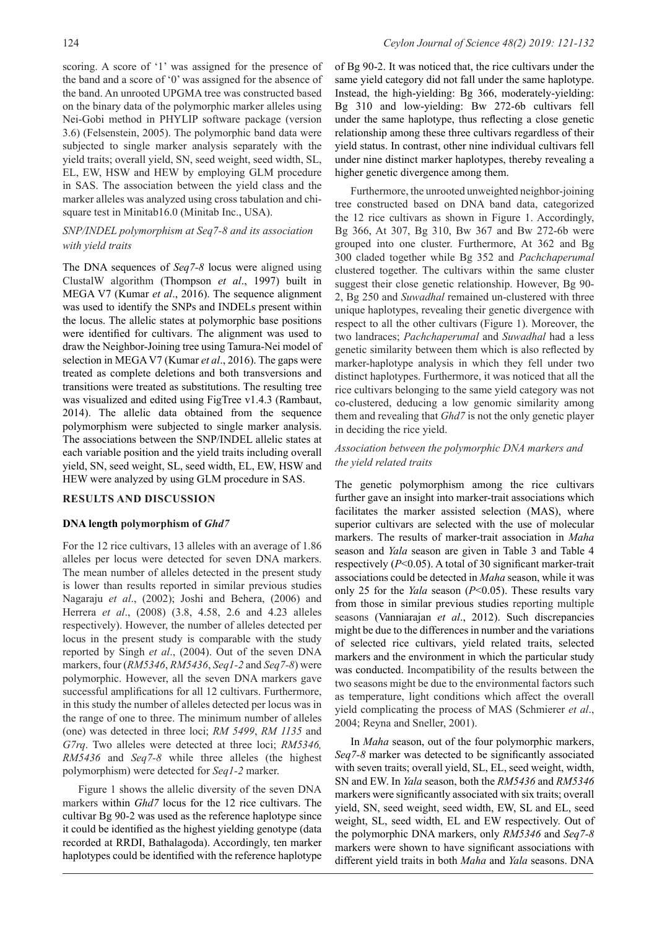scoring. A score of '1' was assigned for the presence of the band and a score of '0' was assigned for the absence of the band. An unrooted UPGMA tree was constructed based on the binary data of the polymorphic marker alleles using Nei-Gobi method in PHYLIP software package (version 3.6) (Felsenstein, 2005). The polymorphic band data were subjected to single marker analysis separately with the yield traits; overall yield, SN, seed weight, seed width, SL, EL, EW, HSW and HEW by employing GLM procedure in SAS. The association between the yield class and the marker alleles was analyzed using cross tabulation and chi-

## *SNP/INDEL polymorphism at Seq7-8 and its association with yield traits*

square test in Minitab16.0 (Minitab Inc., USA).

The DNA sequences of *Seq7-8* locus were aligned using ClustalW algorithm (Thompson *et al*., 1997) built in MEGA V7 (Kumar *et al*., 2016). The sequence alignment was used to identify the SNPs and INDELs present within the locus. The allelic states at polymorphic base positions were identified for cultivars. The alignment was used to draw the Neighbor-Joining tree using Tamura-Nei model of selection in MEGA V7 (Kumar *et al*., 2016). The gaps were treated as complete deletions and both transversions and transitions were treated as substitutions. The resulting tree was visualized and edited using FigTree v1.4.3 (Rambaut, 2014). The allelic data obtained from the sequence polymorphism were subjected to single marker analysis. The associations between the SNP/INDEL allelic states at each variable position and the yield traits including overall yield, SN, seed weight, SL, seed width, EL, EW, HSW and HEW were analyzed by using GLM procedure in SAS.

## **RESULTS AND DISCUSSION**

## **DNA length polymorphism of** *Ghd7*

For the 12 rice cultivars, 13 alleles with an average of 1.86 alleles per locus were detected for seven DNA markers. The mean number of alleles detected in the present study is lower than results reported in similar previous studies Nagaraju *et al*., (2002); Joshi and Behera, (2006) and Herrera *et al*., (2008) (3.8, 4.58, 2.6 and 4.23 alleles respectively). However, the number of alleles detected per locus in the present study is comparable with the study reported by Singh *et al*., (2004). Out of the seven DNA markers, four (*RM5346*, *RM5436*, *Seq1-2* and *Seq7-8*) were polymorphic. However, all the seven DNA markers gave successful amplifications for all 12 cultivars. Furthermore, in this study the number of alleles detected per locus was in the range of one to three. The minimum number of alleles (one) was detected in three loci; *RM 5499*, *RM 1135* and *G7rq*. Two alleles were detected at three loci; *RM5346, RM5436* and *Seq7-8* while three alleles (the highest polymorphism) were detected for *Seq1-2* marker.

Figure 1 shows the allelic diversity of the seven DNA markers within *Ghd7* locus for the 12 rice cultivars. The cultivar Bg 90-2 was used as the reference haplotype since it could be identified as the highest yielding genotype (data recorded at RRDI, Bathalagoda). Accordingly, ten marker haplotypes could be identified with the reference haplotype

of Bg 90-2. It was noticed that, the rice cultivars under the same yield category did not fall under the same haplotype. Instead, the high-yielding: Bg 366, moderately-yielding: Bg 310 and low-yielding: Bw 272-6b cultivars fell under the same haplotype, thus reflecting a close genetic relationship among these three cultivars regardless of their yield status. In contrast, other nine individual cultivars fell under nine distinct marker haplotypes, thereby revealing a higher genetic divergence among them.

Furthermore, the unrooted unweighted neighbor-joining tree constructed based on DNA band data, categorized the 12 rice cultivars as shown in Figure 1. Accordingly, Bg 366, At 307, Bg 310, Bw 367 and Bw 272-6b were grouped into one cluster. Furthermore, At 362 and Bg 300 claded together while Bg 352 and *Pachchaperumal*  clustered together. The cultivars within the same cluster suggest their close genetic relationship. However, Bg 90- 2, Bg 250 and *Suwadhal* remained un-clustered with three unique haplotypes, revealing their genetic divergence with respect to all the other cultivars (Figure 1). Moreover, the two landraces; *Pachchaperumal* and *Suwadhal* had a less genetic similarity between them which is also reflected by marker-haplotype analysis in which they fell under two distinct haplotypes. Furthermore, it was noticed that all the rice cultivars belonging to the same yield category was not co-clustered, deducing a low genomic similarity among them and revealing that *Ghd7* is not the only genetic player in deciding the rice yield.

## *Association between the polymorphic DNA markers and the yield related traits*

The genetic polymorphism among the rice cultivars further gave an insight into marker-trait associations which facilitates the marker assisted selection (MAS), where superior cultivars are selected with the use of molecular markers. The results of marker-trait association in *Maha*  season and *Yala* season are given in Table 3 and Table 4 respectively (*P*<0.05). A total of 30 significant marker-trait associations could be detected in *Maha* season, while it was only 25 for the *Yala* season (*P*<0.05). These results vary from those in similar previous studies reporting multiple seasons (Vanniarajan *et al*., 2012). Such discrepancies might be due to the differences in number and the variations of selected rice cultivars, yield related traits, selected markers and the environment in which the particular study was conducted. Incompatibility of the results between the two seasons might be due to the environmental factors such as temperature, light conditions which affect the overall yield complicating the process of MAS (Schmierer *et al*., 2004; Reyna and Sneller, 2001).

In *Maha* season, out of the four polymorphic markers, *Seq7-8* marker was detected to be significantly associated with seven traits; overall yield, SL, EL, seed weight, width, SN and EW. In *Yala* season, both the *RM5436* and *RM5346*  markers were significantly associated with six traits; overall yield, SN, seed weight, seed width, EW, SL and EL, seed weight, SL, seed width, EL and EW respectively. Out of the polymorphic DNA markers, only *RM5346* and *Seq7-8* markers were shown to have significant associations with different yield traits in both *Maha* and *Yala* seasons. DNA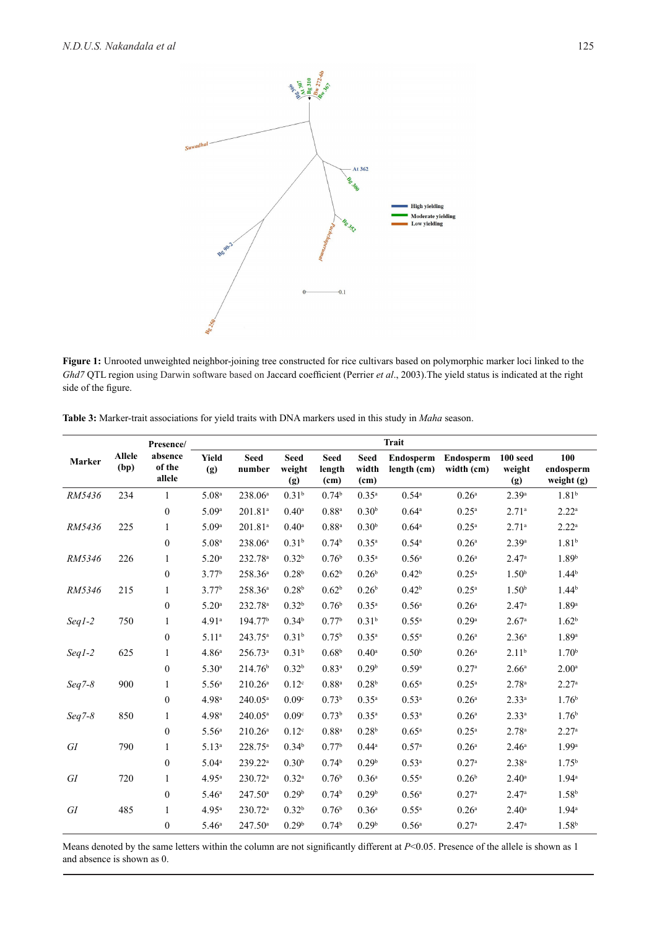

**Figure 1:** Unrooted unweighted neighbor-joining tree constructed for rice cultivars based on polymorphic marker loci linked to the *Ghd7* QTL region using Darwin software based on Jaccard coefficient (Perrier *et al*., 2003).The yield status is indicated at the right side of the figure.

| <b>Table 3:</b> Marker-trait associations for yield traits with DNA markers used in this study in <i>Maha</i> season. |  |  |
|-----------------------------------------------------------------------------------------------------------------------|--|--|
|                                                                                                                       |  |  |

|          |                       | Presence/                   | <b>Trait</b>      |                       |                              |                               |                              |                          |                         |                             |                                |  |
|----------|-----------------------|-----------------------------|-------------------|-----------------------|------------------------------|-------------------------------|------------------------------|--------------------------|-------------------------|-----------------------------|--------------------------------|--|
| Marker   | <b>Allele</b><br>(bp) | absence<br>of the<br>allele | Yield<br>(g)      | <b>Seed</b><br>number | <b>Seed</b><br>weight<br>(g) | <b>Seed</b><br>length<br>(cm) | <b>Seed</b><br>width<br>(cm) | Endosperm<br>length (cm) | Endosperm<br>width (cm) | $100$ seed<br>weight<br>(g) | 100<br>endosperm<br>weight (g) |  |
| RM5436   | 234                   | 1                           | 5.08 <sup>a</sup> | 238.06 <sup>a</sup>   | 0.31 <sup>b</sup>            | 0.74 <sup>b</sup>             | $0.35^{\rm a}$               | $0.54^{\circ}$           | 0.26 <sup>a</sup>       | 2.39a                       | 1.81 <sup>b</sup>              |  |
|          |                       | $\boldsymbol{0}$            | 5.09 <sup>a</sup> | 201.81 <sup>a</sup>   | $0.40^{\rm a}$               | $0.88^{a}$                    | 0.30 <sup>b</sup>            | $0.64^{\circ}$           | $0.25^{\rm a}$          | 2.71 <sup>a</sup>           | $2.22^{\rm a}$                 |  |
| RM5436   | 225                   | 1                           | 5.09 <sup>a</sup> | 201.81 <sup>a</sup>   | $0.40^{\rm a}$               | $0.88^{a}$                    | 0.30 <sup>b</sup>            | $0.64^{\circ}$           | $0.25^{\rm a}$          | 2.71 <sup>a</sup>           | $2.22^{\rm a}$                 |  |
|          |                       | $\boldsymbol{0}$            | 5.08 <sup>a</sup> | 238.06 <sup>a</sup>   | 0.31 <sup>b</sup>            | 0.74 <sup>b</sup>             | $0.35^{a}$                   | $0.54^{\circ}$           | 0.26 <sup>a</sup>       | 2.39a                       | 1.81 <sup>b</sup>              |  |
| RM5346   | 226                   | 1                           | 5.20 <sup>a</sup> | 232.78 <sup>a</sup>   | 0.32 <sup>b</sup>            | 0.76 <sup>b</sup>             | $0.35^{a}$                   | 0.56 <sup>a</sup>        | 0.26 <sup>a</sup>       | 2.47 <sup>a</sup>           | 1.89 <sup>b</sup>              |  |
|          |                       | $\mathbf{0}$                | 3.77 <sup>b</sup> | 258.36 <sup>a</sup>   | 0.28 <sup>b</sup>            | 0.62 <sup>b</sup>             | 0.26 <sup>b</sup>            | 0.42 <sup>b</sup>        | $0.25^{\rm a}$          | 1.50 <sup>b</sup>           | 1.44 <sup>b</sup>              |  |
| RM5346   | 215                   | 1                           | 3.77 <sup>b</sup> | 258.36 <sup>a</sup>   | 0.28 <sup>b</sup>            | 0.62 <sup>b</sup>             | 0.26 <sup>b</sup>            | 0.42 <sup>b</sup>        | $0.25^{\rm a}$          | 1.50 <sup>b</sup>           | 1.44 <sup>b</sup>              |  |
|          |                       | $\mathbf{0}$                | 5.20 <sup>a</sup> | 232.78 <sup>a</sup>   | 0.32 <sup>b</sup>            | 0.76 <sup>b</sup>             | $0.35^{a}$                   | 0.56 <sup>a</sup>        | 0.26 <sup>a</sup>       | 2.47a                       | 1.89a                          |  |
| $Seq1-2$ | 750                   | 1                           | 4.91 <sup>a</sup> | 194.77 <sup>b</sup>   | 0.34 <sup>b</sup>            | 0.77 <sup>b</sup>             | 0.31 <sup>b</sup>            | $0.55^{\rm a}$           | 0.29a                   | 2.67 <sup>a</sup>           | 1.62 <sup>b</sup>              |  |
|          |                       | $\boldsymbol{0}$            | 5.11 <sup>a</sup> | $243.75^a$            | 0.31 <sup>b</sup>            | $0.75^{\rm b}$                | $0.35^{a}$                   | $0.55^{\rm a}$           | 0.26 <sup>a</sup>       | 2.36 <sup>a</sup>           | 1.89a                          |  |
| $Seq1-2$ | 625                   | $\mathbf{1}$                | 4.86 <sup>a</sup> | $256.73^a$            | 0.31 <sup>b</sup>            | 0.68 <sup>b</sup>             | $0.40^{\circ}$               | 0.50 <sup>b</sup>        | 0.26 <sup>a</sup>       | 2.11 <sup>b</sup>           | 1.70 <sup>b</sup>              |  |
|          |                       | $\boldsymbol{0}$            | 5.30 <sup>a</sup> | 214.76 <sup>b</sup>   | 0.32 <sup>b</sup>            | $0.83^{a}$                    | 0.29 <sup>b</sup>            | 0.59a                    | 0.27 <sup>a</sup>       | 2.66 <sup>a</sup>           | 2.00 <sup>a</sup>              |  |
| $Seq7-8$ | 900                   | 1                           | 5.56 <sup>a</sup> | $210.26^a$            | 0.12 <sup>c</sup>            | $0.88^{a}$                    | 0.28 <sup>b</sup>            | $0.65^{\rm a}$           | $0.25^{\rm a}$          | $2.78^{a}$                  | 2.27 <sup>a</sup>              |  |
|          |                       | $\boldsymbol{0}$            | 4.98 <sup>a</sup> | 240.05 <sup>a</sup>   | 0.09c                        | 0.73 <sup>b</sup>             | $0.35^{a}$                   | 0.53 <sup>a</sup>        | 0.26 <sup>a</sup>       | $2.33^{a}$                  | 1.76 <sup>b</sup>              |  |
| $Seq7-8$ | 850                   | 1                           | 4.98 <sup>a</sup> | $240.05^a$            | 0.09 <sup>c</sup>            | 0.73 <sup>b</sup>             | $0.35^{a}$                   | $0.53^{\rm a}$           | $0.26^{\rm a}$          | $2.33^{a}$                  | 1.76 <sup>b</sup>              |  |
|          |                       | $\boldsymbol{0}$            | 5.56 <sup>a</sup> | 210.26 <sup>a</sup>   | 0.12 <sup>c</sup>            | $0.88^{a}$                    | 0.28 <sup>b</sup>            | $0.65^{\rm a}$           | $0.25^{\rm a}$          | 2.78 <sup>a</sup>           | 2.27 <sup>a</sup>              |  |
| GI       | 790                   | 1                           | 5.13 <sup>a</sup> | 228.75 <sup>a</sup>   | 0.34 <sup>b</sup>            | 0.77 <sup>b</sup>             | $0.44^{\circ}$               | 0.57 <sup>a</sup>        | 0.26 <sup>a</sup>       | 2.46 <sup>a</sup>           | 1.99 <sup>a</sup>              |  |
|          |                       | $\boldsymbol{0}$            | $5.04^{\rm a}$    | 239.22 <sup>a</sup>   | 0.30 <sup>b</sup>            | 0.74 <sup>b</sup>             | 0.29 <sup>b</sup>            | 0.53 <sup>a</sup>        | 0.27a                   | 2.38 <sup>a</sup>           | 1.75 <sup>b</sup>              |  |
| GI       | 720                   | 1                           | 4.95 <sup>a</sup> | $230.72^a$            | 0.32 <sup>a</sup>            | 0.76 <sup>b</sup>             | 0.36 <sup>a</sup>            | $0.55^{\rm a}$           | 0.26 <sup>b</sup>       | $2.40^{\circ}$              | $1.94^{\circ}$                 |  |
|          |                       | $\boldsymbol{0}$            | 5.46 <sup>a</sup> | $247.50^{\circ}$      | 0.29 <sup>b</sup>            | 0.74 <sup>b</sup>             | 0.29 <sup>b</sup>            | $0.56^{\rm a}$           | 0.27 <sup>a</sup>       | 2.47 <sup>a</sup>           | 1.58 <sup>b</sup>              |  |
| GI       | 485                   | 1                           | 4.95 <sup>a</sup> | $230.72^a$            | 0.32 <sup>b</sup>            | 0.76 <sup>b</sup>             | 0.36 <sup>a</sup>            | $0.55^{\rm a}$           | 0.26 <sup>a</sup>       | $2.40^{\circ}$              | $1.94^{\circ}$                 |  |
|          |                       | $\boldsymbol{0}$            | 5.46 <sup>a</sup> | $247.50^{\circ}$      | 0.29 <sup>b</sup>            | 0.74 <sup>b</sup>             | 0.29 <sup>b</sup>            | $0.56^{\circ}$           | 0.27 <sup>a</sup>       | 2.47 <sup>a</sup>           | 1.58 <sup>b</sup>              |  |

Means denoted by the same letters within the column are not significantly different at *P*<0.05. Presence of the allele is shown as 1 and absence is shown as 0.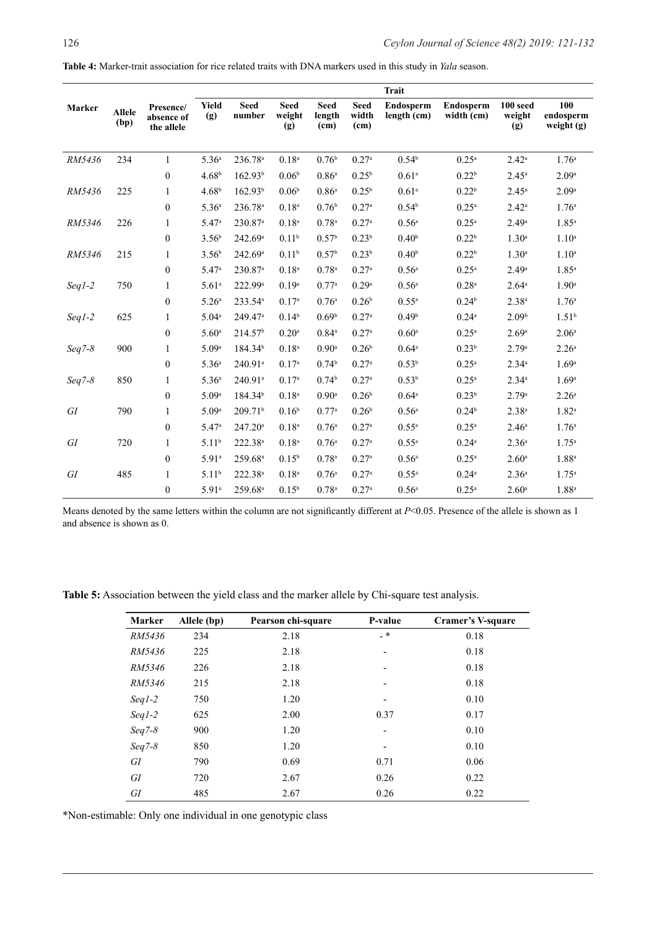**Table 4:** Marker-trait association for rice related traits with DNA markers used in this study in *Yala* season.

|          | <b>Trait</b>          |                                       |                   |                       |                              |                               |                                           |                          |                         |                           |                                |
|----------|-----------------------|---------------------------------------|-------------------|-----------------------|------------------------------|-------------------------------|-------------------------------------------|--------------------------|-------------------------|---------------------------|--------------------------------|
| Marker   | <b>Allele</b><br>(bp) | Presence/<br>absence of<br>the allele | Yield<br>(g)      | <b>Seed</b><br>number | <b>Seed</b><br>weight<br>(g) | <b>Seed</b><br>length<br>(cm) | <b>Seed</b><br>width<br>(c <sub>m</sub> ) | Endosperm<br>length (cm) | Endosperm<br>width (cm) | 100 seed<br>weight<br>(g) | 100<br>endosperm<br>weight (g) |
|          |                       |                                       |                   |                       |                              |                               |                                           |                          |                         |                           |                                |
| RM5436   | 234                   | $\mathbf{1}$                          | 5.36 <sup>a</sup> | 236.78 <sup>a</sup>   | 0.18 <sup>a</sup>            | 0.76 <sup>b</sup>             | 0.27a                                     | 0.54 <sup>b</sup>        | $0.25$ <sup>a</sup>     | $2.42^a$                  | 1.76 <sup>a</sup>              |
|          |                       | $\boldsymbol{0}$                      | 4.68 <sup>b</sup> | 162.93 <sup>b</sup>   | 0.06 <sup>b</sup>            | 0.86 <sup>a</sup>             | $0.25^{b}$                                | 0.61 <sup>a</sup>        | 0.22 <sup>b</sup>       | $2.45^a$                  | 2.09a                          |
| RM5436   | 225                   | 1                                     | 4.68 <sup>b</sup> | 162.93 <sup>b</sup>   | 0.06 <sup>b</sup>            | 0.86 <sup>a</sup>             | $0.25^{b}$                                | 0.61 <sup>a</sup>        | 0.22 <sup>b</sup>       | $2.45^{\circ}$            | 2.09 <sup>a</sup>              |
|          |                       | $\boldsymbol{0}$                      | 5.36 <sup>a</sup> | 236.78 <sup>a</sup>   | 0.18 <sup>a</sup>            | 0.76 <sup>b</sup>             | 0.27a                                     | 0.54 <sup>b</sup>        | 0.25 <sup>a</sup>       | $2.42^a$                  | 1.76 <sup>a</sup>              |
| RM5346   | 226                   | 1                                     | 5.47 <sup>a</sup> | 230.87 <sup>a</sup>   | 0.18 <sup>a</sup>            | 0.78 <sup>a</sup>             | 0.27a                                     | $0.56^{\circ}$           | $0.25^{\rm a}$          | $2.49^{\rm a}$            | $1.85^{\rm a}$                 |
|          |                       | $\boldsymbol{0}$                      | 3.56 <sup>b</sup> | 242.69a               | 0.11 <sup>b</sup>            | 0.57 <sup>b</sup>             | 0.23 <sup>b</sup>                         | 0.40 <sup>b</sup>        | 0.22 <sup>b</sup>       | 1.30 <sup>a</sup>         | 1.10 <sup>a</sup>              |
| RM5346   | 215                   | 1                                     | 3.56 <sup>b</sup> | 242.69a               | 0.11 <sup>b</sup>            | 0.57 <sup>b</sup>             | 0.23 <sup>b</sup>                         | 0.40 <sup>b</sup>        | 0.22 <sup>b</sup>       | 1.30 <sup>a</sup>         | $1.10^a$                       |
|          |                       | $\boldsymbol{0}$                      | 5.47a             | 230.87 <sup>a</sup>   | 0.18 <sup>a</sup>            | $0.78$ <sup>a</sup>           | 0.27a                                     | 0.56 <sup>a</sup>        | 0.25 <sup>a</sup>       | 2.49a                     | $1.85^{\rm a}$                 |
| $Seq1-2$ | 750                   | 1                                     | 5.61 <sup>a</sup> | 222.99 <sup>a</sup>   | 0.19 <sup>a</sup>            | 0.77a                         | 0.29a                                     | $0.56^{\circ}$           | 0.28 <sup>a</sup>       | $2.64^{\circ}$            | 1.90 <sup>a</sup>              |
|          |                       | $\boldsymbol{0}$                      | 5.26 <sup>a</sup> | 233.54 <sup>a</sup>   | 0.17 <sup>a</sup>            | 0.76 <sup>a</sup>             | 0.26 <sup>b</sup>                         | $0.55^{\rm a}$           | 0.24 <sup>b</sup>       | 2.38 <sup>a</sup>         | 1.76 <sup>a</sup>              |
| $Seq1-2$ | 625                   | 1                                     | 5.04 <sup>a</sup> | 249.47 <sup>a</sup>   | 0.14 <sup>b</sup>            | 0.69 <sup>b</sup>             | 0.27 <sup>a</sup>                         | 0.49 <sup>b</sup>        | $0.24^{\rm a}$          | 2.09 <sup>b</sup>         | 1.51 <sup>b</sup>              |
|          |                       | $\mathbf{0}$                          | 5.60 <sup>a</sup> | 214.57 <sup>b</sup>   | $0.20^{\rm a}$               | $0.84^{\circ}$                | 0.27 <sup>a</sup>                         | $0.60^{\circ}$           | $0.25^{\rm a}$          | 2.69a                     | 2.06 <sup>a</sup>              |
| $Seq7-8$ | 900                   | 1                                     | 5.09a             | 184.34 <sup>b</sup>   | 0.18 <sup>a</sup>            | $0.90$ <sup>a</sup>           | 0.26 <sup>b</sup>                         | $0.64^{\circ}$           | 0.23 <sup>b</sup>       | 2.79a                     | 2.26 <sup>a</sup>              |
|          |                       | $\boldsymbol{0}$                      | 5.36 <sup>a</sup> | 240.91 <sup>a</sup>   | 0.17 <sup>a</sup>            | 0.74 <sup>b</sup>             | 0.27a                                     | 0.53 <sup>b</sup>        | $0.25^{\rm a}$          | $2.34^{a}$                | 1.69 <sup>a</sup>              |
| $Seq7-8$ | 850                   | 1                                     | 5.36 <sup>a</sup> | $240.91$ <sup>a</sup> | 0.17 <sup>a</sup>            | 0.74 <sup>b</sup>             | $0.27^{\rm a}$                            | 0.53 <sup>b</sup>        | 0.25 <sup>a</sup>       | $2.34^{a}$                | 1.69a                          |
|          |                       | $\boldsymbol{0}$                      | 5.09a             | 184.34 <sup>b</sup>   | 0.18 <sup>a</sup>            | $0.90$ <sup>a</sup>           | 0.26 <sup>b</sup>                         | $0.64^{\circ}$           | 0.23 <sup>b</sup>       | 2.79a                     | 2.26 <sup>a</sup>              |
| GI       | 790                   | 1                                     | 5.09a             | 209.71 <sup>b</sup>   | 0.16 <sup>b</sup>            | 0.77a                         | 0.26 <sup>b</sup>                         | $0.56^{\rm a}$           | 0.24 <sup>b</sup>       | $2.38^{a}$                | $1.82^{a}$                     |
|          |                       | $\mathbf{0}$                          | 5.47 <sup>a</sup> | $247.20^a$            | 0.18 <sup>a</sup>            | 0.76 <sup>a</sup>             | 0.27a                                     | $0.55^{\rm a}$           | $0.25^{\rm a}$          | 2.46 <sup>a</sup>         | 1.76 <sup>a</sup>              |
| GI       | 720                   | 1                                     | 5.11 <sup>b</sup> | 222.38 <sup>a</sup>   | 0.18 <sup>a</sup>            | 0.76 <sup>a</sup>             | 0.27a                                     | $0.55^{\rm a}$           | $0.24^{\rm a}$          | 2.36 <sup>a</sup>         | $1.75^{\rm a}$                 |
|          |                       | $\boldsymbol{0}$                      | 5.91 <sup>a</sup> | 259.68 <sup>a</sup>   | $0.15^{b}$                   | $0.78$ <sup>a</sup>           | 0.27 <sup>a</sup>                         | $0.56^{\circ}$           | $0.25^{\rm a}$          | 2.60 <sup>a</sup>         | $1.88^{a}$                     |
| GI       | 485                   | 1                                     | 5.11 <sup>b</sup> | 222.38 <sup>a</sup>   | 0.18 <sup>a</sup>            | 0.76a                         | 0.27a                                     | $0.55^{\rm a}$           | $0.24^{\rm a}$          | 2.36 <sup>a</sup>         | 1.75 <sup>a</sup>              |
|          |                       | $\boldsymbol{0}$                      | $5.91^{\circ}$    | 259.68 <sup>a</sup>   | $0.15^{b}$                   | 0.78 <sup>a</sup>             | 0.27a                                     | 0.56 <sup>a</sup>        | $0.25^{\rm a}$          | 2.60 <sup>a</sup>         | 1.88 <sup>a</sup>              |

Means denoted by the same letters within the column are not significantly different at  $P<0.05$ . Presence of the allele is shown as 1 and absence is shown as 0.

**Table 5:** Association between the yield class and the marker allele by Chi-square test analysis.

| Marker   | Allele (bp) | Pearson chi-square | P-value                  | Cramer's V-square |
|----------|-------------|--------------------|--------------------------|-------------------|
| RM5436   | 234         | 2.18               | - *                      | 0.18              |
| RM5436   | 225         | 2.18               | $\overline{\phantom{0}}$ | 0.18              |
| RM5346   | 226         | 2.18               | $\overline{\phantom{0}}$ | 0.18              |
| RM5346   | 215         | 2.18               | $\overline{\phantom{0}}$ | 0.18              |
| $Seq1-2$ | 750         | 1.20               |                          | 0.10              |
| $Seq1-2$ | 625         | 2.00               | 0.37                     | 0.17              |
| $Seq7-8$ | 900         | 1.20               | $\overline{\phantom{a}}$ | 0.10              |
| $Seq7-8$ | 850         | 1.20               | $\overline{\phantom{0}}$ | 0.10              |
| GI       | 790         | 0.69               | 0.71                     | 0.06              |
| GI       | 720         | 2.67               | 0.26                     | 0.22              |
| GI       | 485         | 2.67               | 0.26                     | 0.22              |

\*Non-estimable: Only one individual in one genotypic class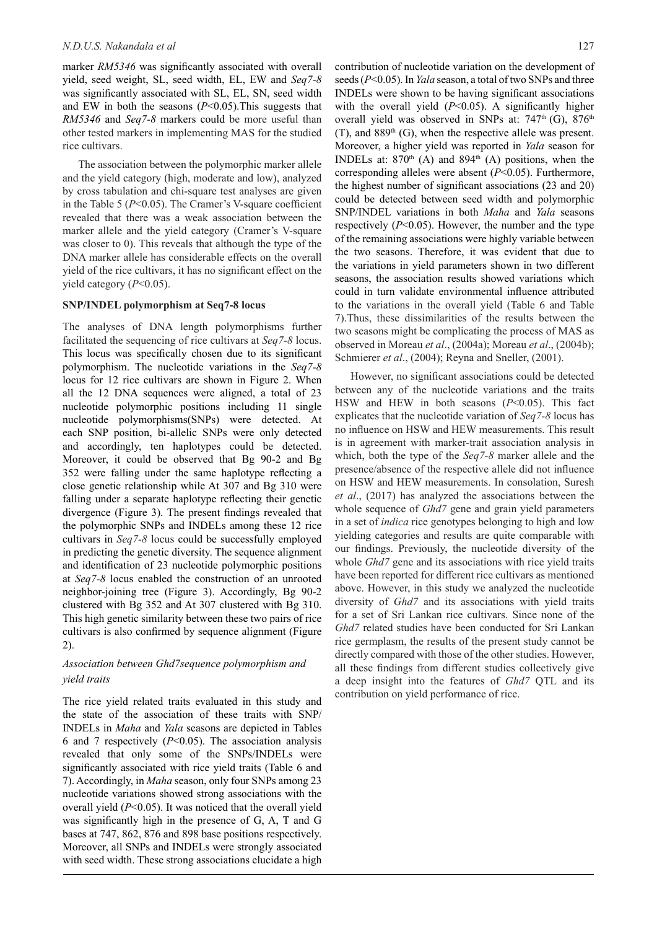marker *RM5346* was significantly associated with overall yield, seed weight, SL, seed width, EL, EW and *Seq7-8* was significantly associated with SL, EL, SN, seed width and EW in both the seasons (*P*<0.05).This suggests that *RM5346* and *Seq7-8* markers could be more useful than other tested markers in implementing MAS for the studied rice cultivars.

The association between the polymorphic marker allele and the yield category (high, moderate and low), analyzed by cross tabulation and chi-square test analyses are given in the Table 5 (*P*<0.05). The Cramer's V-square coefficient revealed that there was a weak association between the marker allele and the yield category (Cramer's V-square was closer to 0). This reveals that although the type of the DNA marker allele has considerable effects on the overall yield of the rice cultivars, it has no significant effect on the yield category (*P*<0.05).

#### **SNP/INDEL polymorphism at Seq7-8 locus**

The analyses of DNA length polymorphisms further facilitated the sequencing of rice cultivars at *Seq7-8* locus. This locus was specifically chosen due to its significant polymorphism. The nucleotide variations in the *Seq7-8* locus for 12 rice cultivars are shown in Figure 2. When all the 12 DNA sequences were aligned, a total of 23 nucleotide polymorphic positions including 11 single nucleotide polymorphisms(SNPs) were detected. At each SNP position, bi-allelic SNPs were only detected and accordingly, ten haplotypes could be detected. Moreover, it could be observed that Bg 90-2 and Bg 352 were falling under the same haplotype reflecting a close genetic relationship while At 307 and Bg 310 were falling under a separate haplotype reflecting their genetic divergence (Figure 3). The present findings revealed that the polymorphic SNPs and INDELs among these 12 rice cultivars in *Seq7-8* locus could be successfully employed in predicting the genetic diversity. The sequence alignment and identification of 23 nucleotide polymorphic positions at *Seq7-8* locus enabled the construction of an unrooted neighbor-joining tree (Figure 3). Accordingly, Bg 90-2 clustered with Bg 352 and At 307 clustered with Bg 310. This high genetic similarity between these two pairs of rice cultivars is also confirmed by sequence alignment (Figure 2).

# *Association between Ghd7sequence polymorphism and yield traits*

The rice yield related traits evaluated in this study and the state of the association of these traits with SNP/ INDELs in *Maha* and *Yala* seasons are depicted in Tables 6 and 7 respectively (*P*<0.05). The association analysis revealed that only some of the SNPs/INDELs were significantly associated with rice yield traits (Table 6 and 7). Accordingly, in *Maha* season, only four SNPs among 23 nucleotide variations showed strong associations with the overall yield (*P*<0.05). It was noticed that the overall yield was significantly high in the presence of G, A, T and G bases at 747, 862, 876 and 898 base positions respectively. Moreover, all SNPs and INDELs were strongly associated with seed width. These strong associations elucidate a high

contribution of nucleotide variation on the development of seeds (*P*<0.05). In *Yala* season, a total of two SNPs and three INDELs were shown to be having significant associations with the overall yield (*P*<0.05). A significantly higher overall yield was observed in SNPs at:  $747<sup>th</sup>$  (G),  $876<sup>th</sup>$  $(T)$ , and 889<sup>th</sup> (G), when the respective allele was present. Moreover, a higher yield was reported in *Yala* season for INDELs at:  $870<sup>th</sup>$  (A) and  $894<sup>th</sup>$  (A) positions, when the corresponding alleles were absent (*P*<0.05). Furthermore, the highest number of significant associations (23 and 20) could be detected between seed width and polymorphic SNP/INDEL variations in both *Maha* and *Yala* seasons respectively (*P*<0.05). However, the number and the type of the remaining associations were highly variable between the two seasons. Therefore, it was evident that due to the variations in yield parameters shown in two different seasons, the association results showed variations which could in turn validate environmental influence attributed to the variations in the overall yield (Table 6 and Table 7).Thus, these dissimilarities of the results between the two seasons might be complicating the process of MAS as observed in Moreau *et al*., (2004a); Moreau *et al*., (2004b); Schmierer et al., (2004); Reyna and Sneller, (2001).

However, no significant associations could be detected between any of the nucleotide variations and the traits HSW and HEW in both seasons (*P*<0.05). This fact explicates that the nucleotide variation of *Seq7-8* locus has no influence on HSW and HEW measurements. This result is in agreement with marker-trait association analysis in which, both the type of the *Seq7-8* marker allele and the presence/absence of the respective allele did not influence on HSW and HEW measurements. In consolation, Suresh *et al*., (2017) has analyzed the associations between the whole sequence of *Ghd7* gene and grain yield parameters in a set of *indica* rice genotypes belonging to high and low yielding categories and results are quite comparable with our findings. Previously, the nucleotide diversity of the whole *Ghd7* gene and its associations with rice yield traits have been reported for different rice cultivars as mentioned above. However, in this study we analyzed the nucleotide diversity of *Ghd7* and its associations with yield traits for a set of Sri Lankan rice cultivars. Since none of the *Ghd7* related studies have been conducted for Sri Lankan rice germplasm, the results of the present study cannot be directly compared with those of the other studies. However, all these findings from different studies collectively give a deep insight into the features of *Ghd7* QTL and its contribution on yield performance of rice.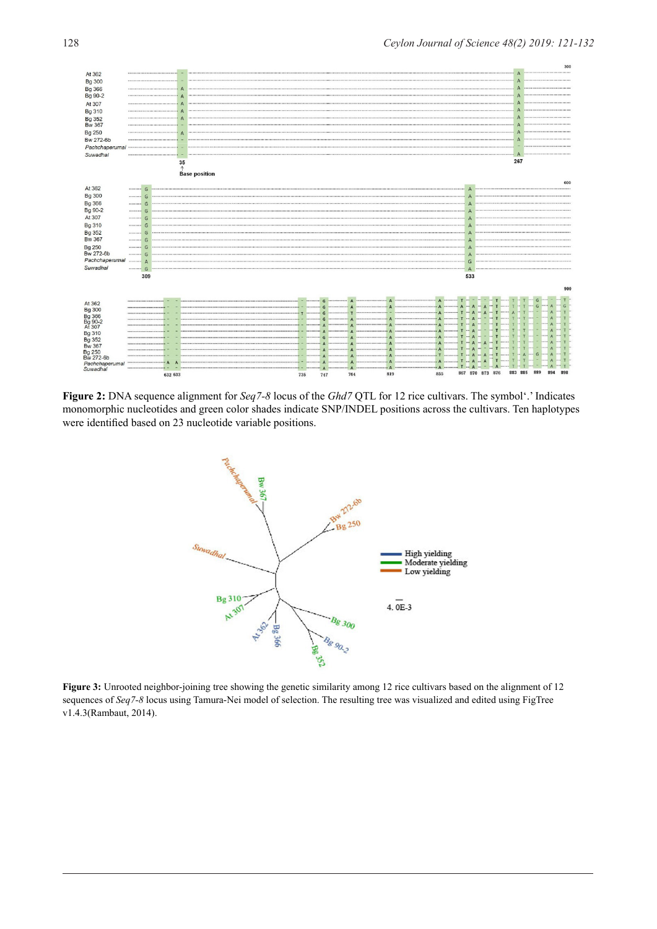

**Figure 2:** DNA sequence alignment for *Seq7-8* locus of the *Ghd7* QTL for 12 rice cultivars. The symbol'.' Indicates monomorphic nucleotides and green color shades indicate SNP/INDEL positions across the cultivars. Ten haplotypes were identified based on 23 nucleotide variable positions.



Figure 3: Unrooted neighbor-joining tree showing the genetic similarity among 12 rice cultivars based on the alignment of 12 sequences of *Seq7-8* locus using Tamura-Nei model of selection. The resulting tree was visualized and edited using FigTree v1.4.3(Rambaut, 2014).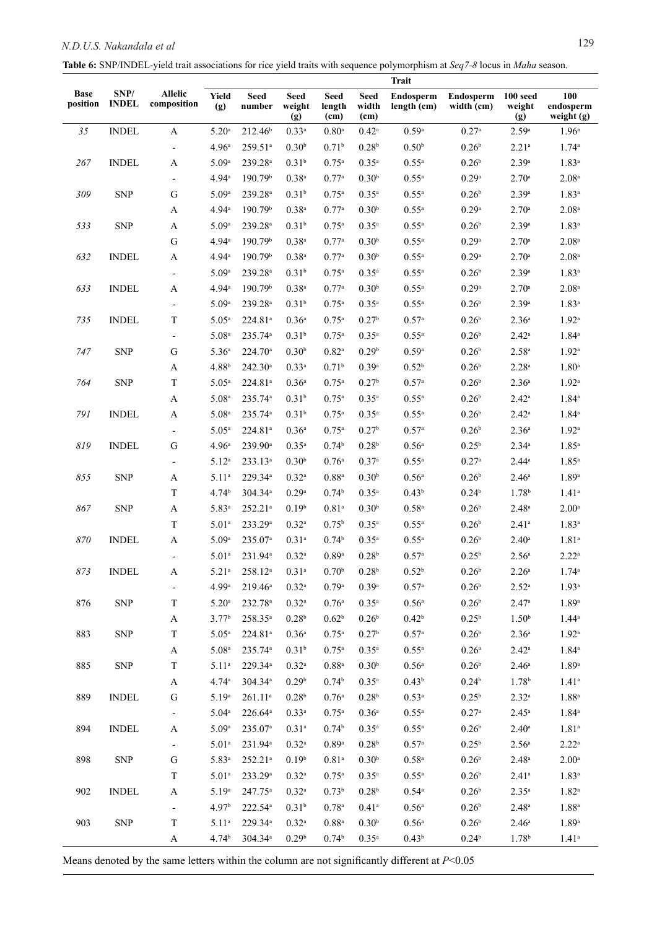| Table 6: SNP/INDEL-yield trait associations for rice yield traits with sequence polymorphism at Seq7-8 locus in Maha season. |  |  |
|------------------------------------------------------------------------------------------------------------------------------|--|--|
|                                                                                                                              |  |  |

|                         |                      |                               | <b>Trait</b>      |                       |                              |                                            |                       |                          |                                |                           |                                |
|-------------------------|----------------------|-------------------------------|-------------------|-----------------------|------------------------------|--------------------------------------------|-----------------------|--------------------------|--------------------------------|---------------------------|--------------------------------|
| <b>Base</b><br>position | SNP/<br><b>INDEL</b> | <b>Allelic</b><br>composition | Yield<br>(g)      | <b>Seed</b><br>number | <b>Seed</b><br>weight<br>(g) | <b>Seed</b><br>length<br>(c <sub>m</sub> ) | Seed<br>width<br>(cm) | Endosperm<br>length (cm) | <b>Endosperm</b><br>width (cm) | 100 seed<br>weight<br>(g) | 100<br>endosperm<br>weight (g) |
| 35                      | <b>INDEL</b>         | $\mathbf{A}$                  | $5.20^{\rm a}$    | 212.46 <sup>b</sup>   | $0.33^{a}$                   | $0.80$ <sup>a</sup>                        | $0.42^{\rm a}$        | 0.59a                    | $0.27^{\rm a}$                 | 2.59a                     | 1.96 <sup>a</sup>              |
|                         |                      | $\overline{\phantom{a}}$      | 4.96 <sup>a</sup> | 259.51 <sup>a</sup>   | 0.30 <sup>b</sup>            | 0.71 <sup>b</sup>                          | 0.28 <sup>b</sup>     | 0.50 <sup>b</sup>        | 0.26 <sup>b</sup>              | $2.21^{a}$                | $1.74^{\rm a}$                 |
| 267                     | <b>INDEL</b>         | A                             | 5.09a             | 239.28 <sup>a</sup>   | 0.31 <sup>b</sup>            | $0.75^{\rm a}$                             | $0.35$ <sup>a</sup>   | $0.55^{\rm a}$           | 0.26 <sup>b</sup>              | $2.39^{a}$                | $1.83^{a}$                     |
|                         |                      | $\overline{\phantom{a}}$      | 4.94 <sup>a</sup> | 190.79 <sup>b</sup>   | $0.38^{a}$                   | 0.77a                                      | 0.30 <sup>b</sup>     | $0.55$ <sup>a</sup>      | 0.29a                          | $2.70^{\rm a}$            | 2.08 <sup>a</sup>              |
| 309                     | <b>SNP</b>           | G                             | 5.09a             | 239.28 <sup>a</sup>   | 0.31 <sup>b</sup>            | $0.75^{\rm a}$                             | $0.35^{a}$            | $0.55^{\rm a}$           | 0.26 <sup>b</sup>              | 2.39a                     | $1.83^{a}$                     |
|                         |                      | A                             | 4.94 <sup>a</sup> | 190.79b               | $0.38^{a}$                   | 0.77a                                      | 0.30 <sup>b</sup>     | $0.55^{\rm a}$           | 0.29a                          | $2.70^{\rm a}$            | 2.08 <sup>a</sup>              |
| 533                     | <b>SNP</b>           | A                             | 5.09a             | 239.28 <sup>a</sup>   | 0.31 <sup>b</sup>            | $0.75^{\rm a}$                             | $0.35^{a}$            | $0.55^{\rm a}$           | 0.26 <sup>b</sup>              | 2.39a                     | $1.83^{a}$                     |
|                         |                      | G                             | 4.94 <sup>a</sup> | 190.79b               | $0.38$ <sup>a</sup>          | 0.77a                                      | 0.30 <sup>b</sup>     | $0.55^{\rm a}$           | 0.29a                          | $2.70^{\rm a}$            | 2.08 <sup>a</sup>              |
| 632                     | <b>INDEL</b>         | $\boldsymbol{\rm{A}}$         | 4.94 <sup>a</sup> | 190.79b               | $0.38^{a}$                   | 0.77a                                      | 0.30 <sup>b</sup>     | $0.55^{\rm a}$           | 0.29a                          | $2.70^{\rm a}$            | 2.08 <sup>a</sup>              |
|                         |                      | $\overline{\phantom{a}}$      | 5.09a             | 239.28 <sup>a</sup>   | 0.31 <sup>b</sup>            | $0.75^{\rm a}$                             | $0.35^{a}$            | $0.55^{\rm a}$           | 0.26 <sup>b</sup>              | 2.39a                     | $1.83^{a}$                     |
| 633                     | <b>INDEL</b>         | A                             | 4.94 <sup>a</sup> | 190.79 <sup>b</sup>   | $0.38$ <sup>a</sup>          | 0.77a                                      | 0.30 <sup>b</sup>     | $0.55^{\rm a}$           | 0.29a                          | $2.70^{\rm a}$            | 2.08 <sup>a</sup>              |
|                         |                      | $\overline{\phantom{a}}$      | 5.09a             | 239.28 <sup>a</sup>   | 0.31 <sup>b</sup>            | $0.75^{\rm a}$                             | $0.35$ <sup>a</sup>   | $0.55$ <sup>a</sup>      | 0.26 <sup>b</sup>              | 2.39a                     | $1.83^{a}$                     |
| 735                     | <b>INDEL</b>         | $\mathbf T$                   | $5.05^{\rm a}$    | 224.81ª               | 0.36 <sup>a</sup>            | $0.75^{\rm a}$                             | 0.27 <sup>b</sup>     | 0.57 <sup>a</sup>        | 0.26 <sup>b</sup>              | 2.36 <sup>a</sup>         | $1.92^{\mathrm{a}}$            |
|                         |                      | $\overline{\phantom{a}}$      | 5.08 <sup>a</sup> | 235.74 <sup>a</sup>   | 0.31 <sup>b</sup>            | $0.75^{\rm a}$                             | $0.35^{a}$            | $0.55^{\rm a}$           | 0.26 <sup>b</sup>              | $2.42^{\rm a}$            | $1.84^{\circ}$                 |
| 747                     | <b>SNP</b>           | ${\bf G}$                     | 5.36 <sup>a</sup> | 224.70 <sup>a</sup>   | 0.30 <sup>b</sup>            | $0.82^{\rm a}$                             | 0.29 <sup>b</sup>     | $0.59$ <sup>a</sup>      | 0.26 <sup>b</sup>              | $2.58^{a}$                | $1.92^{\mathrm{a}}$            |
|                         |                      | A                             | 4.88 <sup>b</sup> | 242.30 <sup>a</sup>   | $0.33^{a}$                   | 0.71 <sup>b</sup>                          | 0.39a                 | 0.52 <sup>b</sup>        | 0.26 <sup>b</sup>              | 2.28 <sup>a</sup>         | 1.80 <sup>a</sup>              |
| 764                     | <b>SNP</b>           | $\mathbf T$                   | $5.05^{\rm a}$    | 224.81ª               | 0.36 <sup>a</sup>            | $0.75^{\rm a}$                             | 0.27 <sup>b</sup>     | $0.57^{\rm a}$           | $0.26^{\rm b}$                 | 2.36 <sup>a</sup>         | 1.92 <sup>a</sup>              |
|                         |                      | A                             | 5.08 <sup>a</sup> | 235.74 <sup>a</sup>   | 0.31 <sup>b</sup>            | $0.75^{\rm a}$                             | $0.35^{a}$            | $0.55^{\rm a}$           | 0.26 <sup>b</sup>              | $2.42^{\rm a}$            | $1.84^{\circ}$                 |
| 791                     | <b>INDEL</b>         | $\mathbf{A}$                  | 5.08 <sup>a</sup> | 235.74 <sup>a</sup>   | 0.31 <sup>b</sup>            | $0.75^{\rm a}$                             | $0.35$ <sup>a</sup>   | $0.55^{\rm a}$           | 0.26 <sup>b</sup>              | $2.42^{\rm a}$            | $1.84^{\circ}$                 |
|                         |                      | $\overline{\phantom{a}}$      | $5.05^{\rm a}$    | 224.81ª               | 0.36 <sup>a</sup>            | $0.75^{\rm a}$                             | 0.27 <sup>b</sup>     | 0.57a                    | 0.26 <sup>b</sup>              | 2.36 <sup>a</sup>         | $1.92^{\mathrm{a}}$            |
| 819                     | <b>INDEL</b>         | G                             | 4.96 <sup>a</sup> | 239.90 <sup>a</sup>   | $0.35^{a}$                   | 0.74 <sup>b</sup>                          | 0.28 <sup>b</sup>     | $0.56^{\rm a}$           | 0.25 <sup>b</sup>              | $2.34^{a}$                | $1.85^{a}$                     |
|                         |                      | $\overline{\phantom{a}}$      | $5.12^{a}$        | 233.13 <sup>a</sup>   | 0.30 <sup>b</sup>            | 0.76a                                      | 0.37a                 | $0.55^{\rm a}$           | $0.27^{\rm a}$                 | $2.44^a$                  | $1.85^{a}$                     |
| 855                     | <b>SNP</b>           | A                             | $5.11^{a}$        | 229.34 <sup>a</sup>   | $0.32^{a}$                   | $0.88$ <sup>a</sup>                        | 0.30 <sup>b</sup>     | 0.56 <sup>a</sup>        | 0.26 <sup>b</sup>              | 2.46 <sup>a</sup>         | 1.89a                          |
|                         |                      | $\mathbf T$                   | 4.74 <sup>b</sup> | 304.34 <sup>a</sup>   | 0.29a                        | 0.74 <sup>b</sup>                          | $0.35^{a}$            | 0.43 <sup>b</sup>        | 0.24 <sup>b</sup>              | 1.78 <sup>b</sup>         | $1.41^{\circ}$                 |
| 867                     | <b>SNP</b>           | A                             | 5.83 <sup>a</sup> | 252.21ª               | 0.19 <sup>b</sup>            | 0.81 <sup>a</sup>                          | 0.30 <sup>b</sup>     | $0.58^{a}$               | 0.26 <sup>b</sup>              | $2.48^{\rm a}$            | 2.00 <sup>a</sup>              |
|                         |                      | $\mathbf T$                   | 5.01 <sup>a</sup> | 233.29 <sup>a</sup>   | $0.32^{a}$                   | $0.75^{\rm b}$                             | $0.35^{a}$            | $0.55^{\rm a}$           | 0.26 <sup>b</sup>              | $2.41^a$                  | $1.83^{a}$                     |
| 870                     | <b>INDEL</b>         | A                             | 5.09a             | 235.07 <sup>a</sup>   | $0.31^{a}$                   | 0.74 <sup>b</sup>                          | $0.35^{a}$            | $0.55^{\rm a}$           | 0.26 <sup>b</sup>              | $2.40^{\rm a}$            | $1.81^{a}$                     |
|                         |                      | $\qquad \qquad \blacksquare$  | 5.01 <sup>a</sup> | 231.94 <sup>a</sup>   | $0.32^{a}$                   | 0.89a                                      | 0.28 <sup>b</sup>     | 0.57a                    | $0.25^{b}$                     | 2.56 <sup>a</sup>         | $2.22^a$                       |
| 873                     | <b>INDEL</b>         | A                             | $5.21^{a}$        | 258.12 <sup>a</sup>   | $0.31^{a}$                   | 0.70 <sup>b</sup>                          | $0.28^{\rm b}$        | 0.52 <sup>b</sup>        | $0.26^{\rm b}$                 | 2.26 <sup>a</sup>         | $1.74^{\circ}$                 |
|                         |                      |                               | 4.99a             | $219.46^a$            | $0.32^{a}$                   | 0.79a                                      | 0.39a                 | $0.57$                   | 0.26 <sup>b</sup>              | $2.52^{\rm a}$            | 1.93 <sup>a</sup>              |
| 876                     | <b>SNP</b>           | $\mathbf T$                   | 5.20 <sup>a</sup> | 232.78 <sup>a</sup>   | $0.32$ <sup>a</sup>          | 0.76a                                      | $0.35$ <sup>a</sup>   | 0.56 <sup>a</sup>        | 0.26 <sup>b</sup>              | $2.47^{\rm a}$            | 1.89a                          |
|                         |                      | A                             | 3.77 <sup>b</sup> | 258.35 <sup>a</sup>   | $0.28^{\rm b}$               | 0.62 <sup>b</sup>                          | 0.26 <sup>b</sup>     | $0.42^{\rm b}$           | 0.25 <sup>b</sup>              | 1.50 <sup>b</sup>         | $1.44^a$                       |
| 883                     | <b>SNP</b>           | $\rm T$                       | 5.05 <sup>a</sup> | 224.81ª               | $0.36^{\rm a}$               | $0.75$ <sup>a</sup>                        | 0.27 <sup>b</sup>     | $0.57$                   | 0.26 <sup>b</sup>              | 2.36 <sup>a</sup>         | $1.92$ <sup>a</sup>            |
|                         |                      | A                             | 5.08 <sup>a</sup> | 235.74 <sup>a</sup>   | 0.31 <sup>b</sup>            | $0.75^{\rm a}$                             | $0.35^{\rm a}$        | $0.55$ <sup>a</sup>      | $0.26^{\rm a}$                 | $2.42^{\rm a}$            | $1.84^{\circ}$                 |
| 885                     | <b>SNP</b>           | $\rm T$                       | $5.11^{a}$        | 229.34 <sup>a</sup>   | $0.32^{a}$                   | $0.88$ <sup>a</sup>                        | 0.30 <sup>b</sup>     | 0.56 <sup>a</sup>        | 0.26 <sup>b</sup>              | $2.46^{\rm a}$            | 1.89a                          |
|                         |                      | A                             | 4.74 <sup>a</sup> | 304.34 <sup>a</sup>   | 0.29 <sup>b</sup>            | 0.74 <sup>b</sup>                          | $0.35$ <sup>a</sup>   | $0.43^{\rm b}$           | 0.24 <sup>b</sup>              | $1.78^{b}$                | $1.41^a$                       |
| 889                     | <b>INDEL</b>         | ${\bf G}$                     | $5.19^{a}$        | $261.11^{a}$          | $0.28^{\rm b}$               | 0.76a                                      | 0.28 <sup>b</sup>     | $0.53^{\rm a}$           | 0.25 <sup>b</sup>              | $2.32^{a}$                | $1.88^{a}$                     |
|                         |                      | $\overline{\phantom{a}}$      | $5.04^{\rm a}$    | $226.64^a$            | $0.33^{a}$                   | $0.75^{\rm a}$                             | $0.36^{\rm a}$        | $0.55$ <sup>a</sup>      | $0.27^{\rm a}$                 | $2.45^{\rm a}$            | $1.84$ <sup>a</sup>            |
| 894                     | <b>INDEL</b>         | A                             | 5.09a             | 235.07 <sup>a</sup>   | $0.31$ <sup>a</sup>          | $0.74^{b}$                                 | $0.35$ <sup>a</sup>   | $0.55$ <sup>a</sup>      | 0.26 <sup>b</sup>              | $2.40^{\circ}$            | $1.81^{a}$                     |
|                         |                      | $\qquad \qquad \blacksquare$  | 5.01 <sup>a</sup> | 231.94 <sup>a</sup>   | $0.32^{a}$                   | 0.89a                                      | 0.28 <sup>b</sup>     | $0.57$ <sup>a</sup>      | $0.25^{\rm b}$                 | $2.56^{\circ}$            | $2.22^{\rm a}$                 |
| 898                     | <b>SNP</b>           | ${\bf G}$                     | $5.83^{a}$        | 252.21ª               | 0.19 <sup>b</sup>            | $0.81^{a}$                                 | 0.30 <sup>b</sup>     | $0.58$ <sup>a</sup>      | 0.26 <sup>b</sup>              | $2.48$ <sup>a</sup>       | $2.00^{\rm a}$                 |
|                         |                      | $\mathbf T$                   | 5.01 <sup>a</sup> | 233.29 <sup>a</sup>   | $0.32$ <sup>a</sup>          | $0.75^{\rm a}$                             | $0.35$ <sup>a</sup>   | $0.55$ <sup>a</sup>      | 0.26 <sup>b</sup>              | $2.41^{\rm a}$            | $1.83$ <sup>a</sup>            |
| 902                     | <b>INDEL</b>         | A                             | $5.19^{a}$        | 247.75 <sup>a</sup>   | $0.32^{\rm a}$               | $0.73^{b}$                                 | 0.28 <sup>b</sup>     | $0.54^{\circ}$           | 0.26 <sup>b</sup>              | $2.35^{a}$                | $1.82^{\rm a}$                 |
|                         |                      |                               | 4.97 <sup>b</sup> | 222.54 <sup>a</sup>   | 0.31 <sup>b</sup>            | $0.78^{a}$                                 | $0.41^{\rm a}$        | 0.56 <sup>a</sup>        | 0.26 <sup>b</sup>              | $2.48$ <sup>a</sup>       | $1.88^{\rm a}$                 |
| 903                     | <b>SNP</b>           | $\rm T$                       | $5.11^{a}$        | 229.34 <sup>a</sup>   | $0.32^{a}$                   | $0.88$ <sup>a</sup>                        | 0.30 <sup>b</sup>     | 0.56 <sup>a</sup>        | 0.26 <sup>b</sup>              | $2.46^{\rm a}$            | $1.89$ <sup>a</sup>            |
|                         |                      | A                             | 4.74 <sup>b</sup> | 304.34 <sup>a</sup>   | 0.29 <sup>b</sup>            | $0.74^{b}$                                 | $0.35$ <sup>a</sup>   | $0.43^{\rm b}$           | 0.24 <sup>b</sup>              | 1.78 <sup>b</sup>         | $1.41^a$                       |

Means denoted by the same letters within the column are not significantly different at *P*<0.05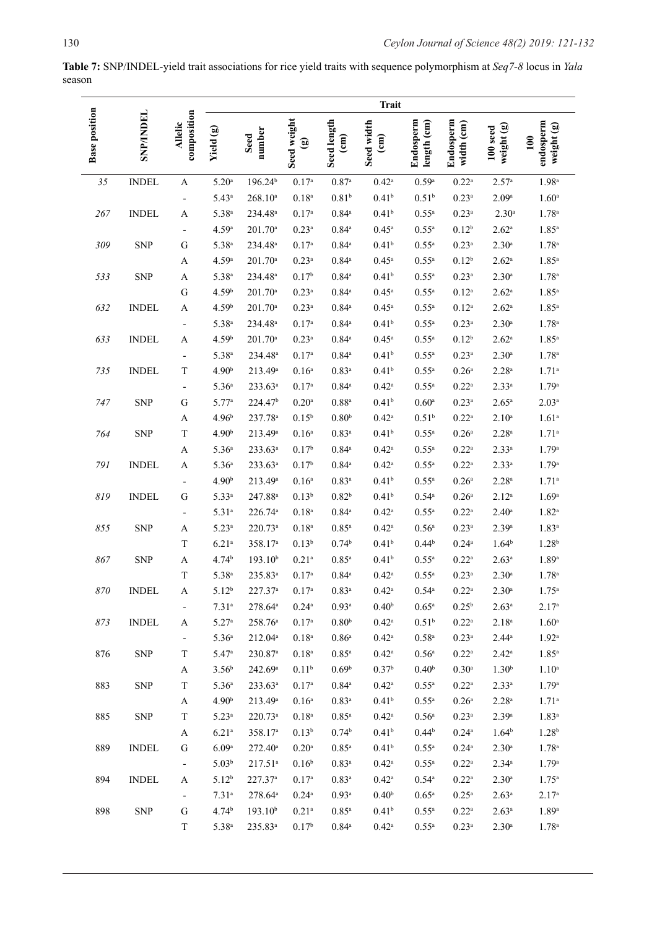**Table 7:** SNP/INDEL-yield trait associations for rice yield traits with sequence polymorphism at *Seq7-8* locus in *Yala*  season

|                      |              |                           | <b>Trait</b>        |                     |                     |                                       |                               |                          |                         |                        |                                |
|----------------------|--------------|---------------------------|---------------------|---------------------|---------------------|---------------------------------------|-------------------------------|--------------------------|-------------------------|------------------------|--------------------------------|
| <b>Base position</b> | SNP/INDEL    | composition<br>Allelic    | Yield (g)           | number<br>Seed      | Seed weight<br>ම    | Seed length<br>$\widehat{\mathsf{E}}$ | Seed width<br>$\binom{cm}{c}$ | Endosperm<br>length (cm) | Endosperm<br>width (cm) | weight (g)<br>100 seed | endosperm<br>weight (g)<br>100 |
| 35                   | <b>INDEL</b> | A                         | 5.20 <sup>a</sup>   | 196.24 <sup>b</sup> | 0.17 <sup>a</sup>   | $0.87$ <sup>a</sup>                   | $0.42^{\rm a}$                | 0.59a                    | $0.22^{\rm a}$          | 2.57 <sup>a</sup>      | 1.98 <sup>a</sup>              |
|                      |              |                           | $5.43^{\rm a}$      | $268.10^a$          | 0.18 <sup>a</sup>   | 0.81 <sup>b</sup>                     | 0.41 <sup>b</sup>             | $0.51^{b}$               | $0.23$ <sup>a</sup>     | 2.09a                  | 1.60 <sup>a</sup>              |
| 267                  | <b>INDEL</b> | Α                         | $5.38^{a}$          | 234.48 <sup>a</sup> | 0.17 <sup>a</sup>   | $0.84^{\mathrm{a}}$                   | $0.41^{b}$                    | $0.55$ <sup>a</sup>      | $0.23$ <sup>a</sup>     | 2.30 <sup>a</sup>      | $1.78^{a}$                     |
|                      |              |                           | 4.59a               | 201.70 <sup>a</sup> | $0.23$ <sup>a</sup> | $0.84\mathrm{^a}$                     | $0.45$ <sup>a</sup>           | $0.55$ <sup>a</sup>      | $0.12^{b}$              | 2.62 <sup>a</sup>      | $1.85$ <sup>a</sup>            |
| 309                  | <b>SNP</b>   | G                         | $5.38^{a}$          | 234.48 <sup>a</sup> | $0.17^{a}$          | $0.84^{\mathrm{a}}$                   | $0.41^{b}$                    | $0.55$ <sup>a</sup>      | $0.23$ <sup>a</sup>     | 2.30 <sup>a</sup>      | $1.78^{a}$                     |
|                      |              | A                         | 4.59a               | 201.70 <sup>a</sup> | $0.23$ <sup>a</sup> | $0.84^{\rm a}$                        | $0.45$ <sup>a</sup>           | $0.55$ <sup>a</sup>      | $0.12^{b}$              | $2.62^a$               | $1.85^{\rm a}$                 |
| 533                  | <b>SNP</b>   | A                         | $5.38^{a}$          | 234.48 <sup>a</sup> | 0.17 <sup>b</sup>   | $0.84\mathrm{^a}$                     | 0.41 <sup>b</sup>             | $0.55$ <sup>a</sup>      | $0.23$ <sup>a</sup>     | $2.30^{\rm a}$         | $1.78^{a}$                     |
|                      |              | G                         | 4.59 <sup>b</sup>   | 201.70 <sup>a</sup> | $0.23$ <sup>a</sup> | $0.84^{\mathrm{a}}$                   | $0.45$ <sup>a</sup>           | $0.55$ <sup>a</sup>      | $0.12$ <sup>a</sup>     | $2.62^{\mathrm{a}}$    | $1.85$ <sup>a</sup>            |
| 632                  | <b>INDEL</b> | A                         | 4.59 <sup>b</sup>   | 201.70 <sup>a</sup> | $0.23^{a}$          | $0.84^{\mathrm{a}}$                   | $0.45^{\rm a}$                | $0.55^{\rm a}$           | $0.12$ <sup>a</sup>     | $2.62^{\circ}$         | $1.85^{a}$                     |
|                      |              | $\overline{\phantom{a}}$  | $5.38^{a}$          | 234.48 <sup>a</sup> | $0.17^{a}$          | $0.84\mathrm{^a}$                     | 0.41 <sup>b</sup>             | $0.55$ <sup>a</sup>      | $0.23$ <sup>a</sup>     | $2.30^{\rm a}$         | $1.78^{a}$                     |
| 633                  | <b>INDEL</b> | A                         | 4.59 <sup>b</sup>   | 201.70 <sup>a</sup> | $0.23^{a}$          | $0.84^{\mathrm{a}}$                   | $0.45$ <sup>a</sup>           | $0.55$ <sup>a</sup>      | $0.12^{b}$              | $2.62^{\mathrm{a}}$    | $1.85^{\rm a}$                 |
|                      |              |                           | $5.38^{a}$          | 234.48 <sup>a</sup> | $0.17^{a}$          | $0.84\mathrm{^a}$                     | 0.41 <sup>b</sup>             | $0.55$ <sup>a</sup>      | $0.23$ <sup>a</sup>     | 2.30 <sup>a</sup>      | $1.78^{a}$                     |
| 735                  | <b>INDEL</b> | $\mathbf T$               | 4.90 <sup>b</sup>   | 213.49 <sup>a</sup> | $0.16^{a}$          | $0.83$ <sup>a</sup>                   | 0.41 <sup>b</sup>             | $0.55$ <sup>a</sup>      | $0.26^{\rm a}$          | $2.28^{a}$             | $1.71^a$                       |
|                      |              | $\overline{\phantom{a}}$  | 5.36 <sup>a</sup>   | 233.63 <sup>a</sup> | $0.17^{a}$          | $0.84^{\rm a}$                        | $0.42$ <sup>a</sup>           | $0.55$ <sup>a</sup>      | $0.22^{\rm a}$          | $2.33^{a}$             | 1.79a                          |
| 747                  | <b>SNP</b>   | G                         | 5.77a               | 224.47 <sup>b</sup> | $0.20$ <sup>a</sup> | $0.88^{\rm a}$                        | 0.41 <sup>b</sup>             | $0.60$ <sup>a</sup>      | $0.23$ <sup>a</sup>     | $2.65^{\rm a}$         | 2.03 <sup>a</sup>              |
|                      |              | A                         | 4.96 <sup>b</sup>   | 237.78 <sup>a</sup> | $0.15^{b}$          | 0.80 <sup>b</sup>                     | $0.42$ <sup>a</sup>           | $0.51^{b}$               | $0.22$ <sup>a</sup>     | 2.10 <sup>a</sup>      | $1.61^a$                       |
| 764                  | <b>SNP</b>   | $\ensuremath{\mathrm{T}}$ | 4.90 <sup>b</sup>   | 213.49 <sup>a</sup> | $0.16^{a}$          | $0.83$ <sup>a</sup>                   | 0.41 <sup>b</sup>             | $0.55$ <sup>a</sup>      | $0.26^{\rm a}$          | $2.28^{a}$             | 1.71 <sup>a</sup>              |
|                      |              | A                         | 5.36 <sup>a</sup>   | 233.63ª             | 0.17 <sup>b</sup>   | $0.84\mathrm{^a}$                     | $0.42$ <sup>a</sup>           | $0.55$ <sup>a</sup>      | $0.22$ <sup>a</sup>     | $2.33^{a}$             | 1.79a                          |
| 791                  | <b>INDEL</b> | A                         | 5.36 <sup>a</sup>   | 233.63 <sup>a</sup> | 0.17 <sup>b</sup>   | $0.84^{\rm a}$                        | $0.42$ <sup>a</sup>           | $0.55$ <sup>a</sup>      | $0.22$ <sup>a</sup>     | $2.33^{a}$             | 1.79a                          |
|                      |              | $\overline{\phantom{a}}$  | 4.90 <sup>b</sup>   | 213.49 <sup>a</sup> | $0.16^{a}$          | $0.83$ <sup>a</sup>                   | 0.41 <sup>b</sup>             | $0.55$ <sup>a</sup>      | $0.26^{\rm a}$          | $2.28^{a}$             | 1.71 <sup>a</sup>              |
| 819                  | <b>INDEL</b> | ${\bf G}$                 | $5.33^{a}$          | 247.88 <sup>a</sup> | $0.13^{b}$          | $0.82^{b}$                            | $0.41^{b}$                    | $0.54$ <sup>a</sup>      | $0.26^{\rm a}$          | $2.12^{a}$             | 1.69a                          |
|                      |              | $\overline{\phantom{a}}$  | 5.31 <sup>a</sup>   | 226.74 <sup>a</sup> | 0.18 <sup>a</sup>   | $0.84^{\rm a}$                        | $0.42$ <sup>a</sup>           | $0.55$ <sup>a</sup>      | $0.22$ <sup>a</sup>     | $2.40^{\rm a}$         | $1.82^{a}$                     |
| 855                  | <b>SNP</b>   | A                         | $5.23^{\rm a}$      | $220.73^a$          | 0.18 <sup>a</sup>   | $0.85^{\rm a}$                        | $0.42$ <sup>a</sup>           | $0.56^{\mathrm{a}}$      | $0.23$ <sup>a</sup>     | 2.39a                  | $1.83^{a}$                     |
|                      |              | $\ensuremath{\mathrm{T}}$ | $6.21$ <sup>a</sup> | 358.17 <sup>a</sup> | $0.13^{b}$          | 0.74 <sup>b</sup>                     | 0.41 <sup>b</sup>             | $0.44^{b}$               | $0.24$ <sup>a</sup>     | $1.64^{\rm b}$         | 1.28 <sup>b</sup>              |
| 867                  | <b>SNP</b>   | A                         | 4.74 <sup>b</sup>   | 193.10 <sup>b</sup> | $0.21^{a}$          | $0.85^{\rm a}$                        | 0.41 <sup>b</sup>             | $0.55^{\rm a}$           | $0.22^{\rm a}$          | $2.63^{a}$             | 1.89 <sup>a</sup>              |
|                      |              | $\mathbf T$               | 5.38 <sup>a</sup>   | 235.83ª             | 0.17 <sup>a</sup>   | $0.84^{\mathrm{a}}$                   | $0.42$ <sup>a</sup>           | $0.55^{a}$               | $0.23^{\rm a}$          | 2.30 <sup>a</sup>      | 1.78 <sup>a</sup>              |
| 870                  | INDEL        | A                         | $5.12^{b}$          | 227.37 <sup>a</sup> | $0.17^{\rm a}$      | $0.83^{\rm a}$                        | $0.42$ <sup>a</sup>           | $0.54^{\circ}$           | $0.22$ <sup>a</sup>     | 2.30 <sup>a</sup>      | 1.75 <sup>a</sup>              |
|                      |              |                           | $7.31^{\circ}$      | 278.64 <sup>a</sup> | $0.24^{\rm a}$      | $0.93$ <sup>a</sup>                   | 0.40 <sup>b</sup>             | $0.65$ <sup>a</sup>      | $0.25^{\rm b}$          | $2.63^a$               | 2.17 <sup>a</sup>              |
| 873                  | <b>INDEL</b> | A                         | $5.27^{\rm a}$      | 258.76 <sup>a</sup> | $0.17^{a}$          | $0.80^{\rm b}$                        | $0.42^{\rm a}$                | 0.51 <sup>b</sup>        | $0.22$ <sup>a</sup>     | $2.18^{\rm a}$         | 1.60 <sup>a</sup>              |
|                      |              | $\overline{\phantom{a}}$  | 5.36 <sup>a</sup>   | $212.04^a$          | $0.18^{\rm a}$      | 0.86 <sup>a</sup>                     | $0.42^{\rm a}$                | $0.58$ <sup>a</sup>      | $0.23$ <sup>a</sup>     | $2.44^{\rm a}$         | $1.92^{\rm a}$                 |
| 876                  | <b>SNP</b>   | $\mathbf T$               | 5.47a               | 230.87 <sup>a</sup> | $0.18^{\rm a}$      | $0.85$ <sup>a</sup>                   | $0.42^{\rm a}$                | 0.56 <sup>a</sup>        | $0.22$ <sup>a</sup>     | $2.42^{\rm a}$         | $1.85^{\rm a}$                 |
|                      |              | $\mathbf A$               | $3.56^{\rm b}$      | 242.69a             | $0.11^{b}$          | 0.69 <sup>b</sup>                     | 0.37 <sup>b</sup>             | 0.40 <sup>b</sup>        | 0.30 <sup>a</sup>       | 1.30 <sup>b</sup>      | $1.10^{a}$                     |
| 883                  | <b>SNP</b>   | $\mathbf T$               | 5.36 <sup>a</sup>   | 233.63 <sup>a</sup> | 0.17 <sup>a</sup>   | $0.84^{\rm a}$                        | $0.42^{\rm a}$                | $0.55^{\rm a}$           | $0.22$ <sup>a</sup>     | $2.33^{a}$             | 1.79a                          |
|                      |              | A                         | 4.90 <sup>b</sup>   | 213.49 <sup>a</sup> | $0.16^{\rm a}$      | $0.83$ <sup>a</sup>                   | 0.41 <sup>b</sup>             | $0.55$ <sup>a</sup>      | 0.26 <sup>a</sup>       | 2.28 <sup>a</sup>      | $1.71^{\circ}$                 |
| 885                  | <b>SNP</b>   | $\mathbf T$               | $5.23^{\rm a}$      | 220.73ª             | $0.18^{\rm a}$      | $0.85$ <sup>a</sup>                   | $0.42^{\rm a}$                | 0.56 <sup>a</sup>        | $0.23$ <sup>a</sup>     | 2.39a                  | $1.83^{a}$                     |
|                      |              | $\boldsymbol{\mathsf{A}}$ | 6.21 <sup>a</sup>   | 358.17 <sup>a</sup> | $0.13^{b}$          | $0.74^{b}$                            | $0.41^{b}$                    | $0.44^{b}$               | $0.24$ <sup>a</sup>     | $1.64^{b}$             | $1.28^{b}$                     |
| 889                  | <b>INDEL</b> | G                         | 6.09a               | $272.40^a$          | $0.20$ <sup>a</sup> | $0.85^{\rm a}$                        | 0.41 <sup>b</sup>             | $0.55$ <sup>a</sup>      | $0.24$ <sup>a</sup>     | 2.30 <sup>a</sup>      | $1.78^{a}$                     |
|                      |              | $\overline{\phantom{a}}$  | 5.03 <sup>b</sup>   | $217.51^a$          | $0.16^{b}$          | $0.83^{a}$                            | $0.42$ <sup>a</sup>           | $0.55$ <sup>a</sup>      | $0.22$ <sup>a</sup>     | $2.34^{\circ}$         | 1.79a                          |
| 894                  | <b>INDEL</b> | A                         | $5.12^{b}$          | 227.37 <sup>a</sup> | 0.17 <sup>a</sup>   | $0.83$ <sup>a</sup>                   | $0.42$ <sup>a</sup>           | $0.54^{\rm a}$           | $0.22$ <sup>a</sup>     | $2.30^{\rm a}$         | $1.75^{\rm a}$                 |
|                      |              | ۰.                        | $7.31^{a}$          | 278.64 <sup>a</sup> | $0.24^{\rm a}$      | $0.93$ <sup>a</sup>                   | 0.40 <sup>b</sup>             | $0.65$ <sup>a</sup>      | $0.25^{\mathrm{a}}$     | $2.63^a$               | 2.17 <sup>a</sup>              |
| 898                  | <b>SNP</b>   | G                         | 4.74 <sup>b</sup>   | 193.10 <sup>b</sup> | $0.21^{\rm a}$      | $0.85$ <sup>a</sup>                   | 0.41 <sup>b</sup>             | $0.55$ <sup>a</sup>      | $0.22$ <sup>a</sup>     | $2.63^a$               | 1.89a                          |
|                      |              | $\mathbf T$               | $5.38^{a}$          | 235.83ª             | $0.17^{b}$          | $0.84^{\rm a}$                        | $0.42^{\rm a}$                | $0.55$ <sup>a</sup>      | $0.23$ <sup>a</sup>     | $2.30^{\rm a}$         | $1.78^{a}$                     |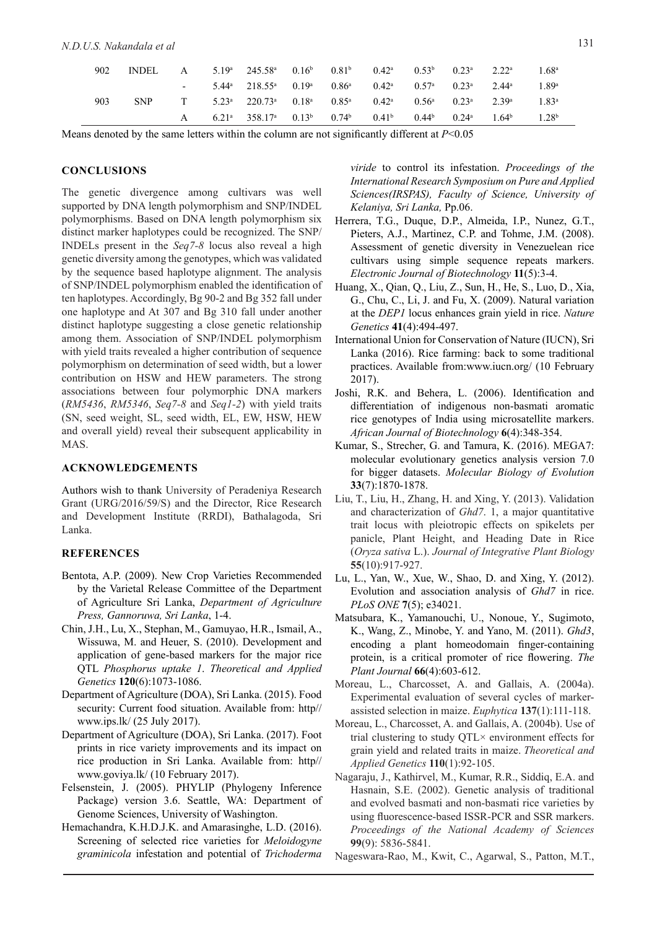| 902 | <b>INDEL</b> |  | A $5.19^a$ $245.58^a$ $0.16^b$                                                                                                                        |  | 0.81 <sup>b</sup> 0.42 <sup>a</sup> 0.53 <sup>b</sup> 0.23 <sup>a</sup> 2.22 <sup>a</sup> |  | $1.68^{\rm a}$    |
|-----|--------------|--|-------------------------------------------------------------------------------------------------------------------------------------------------------|--|-------------------------------------------------------------------------------------------|--|-------------------|
|     |              |  | $-5.44^{\text{a}}$ $218.55^{\text{a}}$ $0.19^{\text{a}}$ $0.86^{\text{a}}$ $0.42^{\text{a}}$ $0.57^{\text{a}}$ $0.23^{\text{a}}$ $2.44^{\text{a}}$    |  |                                                                                           |  | 1.89 <sup>a</sup> |
| 903 | <b>SNP</b>   |  | $T = 5.23^{\text{a}} - 220.73^{\text{a}} - 0.18^{\text{a}} - 0.85^{\text{a}} - 0.42^{\text{a}} - 0.56^{\text{a}} - 0.23^{\text{a}} - 2.39^{\text{a}}$ |  |                                                                                           |  | 1.83 <sup>a</sup> |
|     |              |  | A $6.21^a$ $358.17^a$ $0.13^b$ $0.74^b$ $0.41^b$ $0.44^b$ $0.24^a$ $1.64^b$                                                                           |  |                                                                                           |  | 1.28 <sup>b</sup> |

Means denoted by the same letters within the column are not significantly different at *P*<0.05

### **CONCLUSIONS**

The genetic divergence among cultivars was well supported by DNA length polymorphism and SNP/INDEL polymorphisms. Based on DNA length polymorphism six distinct marker haplotypes could be recognized. The SNP/ INDELs present in the *Seq7-8* locus also reveal a high genetic diversity among the genotypes, which was validated by the sequence based haplotype alignment. The analysis of SNP/INDEL polymorphism enabled the identification of ten haplotypes. Accordingly, Bg 90-2 and Bg 352 fall under one haplotype and At 307 and Bg 310 fall under another distinct haplotype suggesting a close genetic relationship among them. Association of SNP/INDEL polymorphism with yield traits revealed a higher contribution of sequence polymorphism on determination of seed width, but a lower contribution on HSW and HEW parameters. The strong associations between four polymorphic DNA markers (*RM5436*, *RM5346*, *Seq7-8* and *Seq1-2*) with yield traits (SN, seed weight, SL, seed width, EL, EW, HSW, HEW and overall yield) reveal their subsequent applicability in MAS.

## **ACKNOWLEDGEMENTS**

Authors wish to thank University of Peradeniya Research Grant (URG/2016/59/S) and the Director, Rice Research and Development Institute (RRDI), Bathalagoda, Sri Lanka.

### **REFERENCES**

- Bentota, A.P. (2009). New Crop Varieties Recommended by the Varietal Release Committee of the Department of Agriculture Sri Lanka, *Department of Agriculture Press, Gannoruwa, Sri Lanka*, 1-4.
- Chin, J.H., Lu, X., Stephan, M., Gamuyao, H.R., Ismail, A., Wissuwa, M. and Heuer, S. (2010). Development and application of gene-based markers for the major rice QTL *Phosphorus uptake 1*. *Theoretical and Applied Genetics* **120**(6):1073-1086.
- Department of Agriculture (DOA), Sri Lanka. (2015). Food security: Current food situation. Available from: http// www.ips.lk/ (25 July 2017).
- Department of Agriculture (DOA), Sri Lanka. (2017). Foot prints in rice variety improvements and its impact on rice production in Sri Lanka. Available from: http// www.goviya.lk/ (10 February 2017).
- Felsenstein, J. (2005). PHYLIP (Phylogeny Inference Package) version 3.6. Seattle, WA: Department of Genome Sciences, University of Washington.
- Hemachandra, K.H.D.J.K. and Amarasinghe, L.D. (2016). Screening of selected rice varieties for *Meloidogyne graminicola* infestation and potential of *Trichoderma*

*viride* to control its infestation. *Proceedings of the International Research Symposium on Pure and Applied Sciences(IRSPAS), Faculty of Science, University of Kelaniya, Sri Lanka,* Pp.06.

- Herrera, T.G., Duque, D.P., Almeida, I.P., Nunez, G.T., Pieters, A.J., Martinez, C.P. and Tohme, J.M. (2008). Assessment of genetic diversity in Venezuelean rice cultivars using simple sequence repeats markers. *Electronic Journal of Biotechnology* **11**(5):3-4.
- Huang, X., Qian, Q., Liu, Z., Sun, H., He, S., Luo, D., Xia, G., Chu, C., Li, J. and Fu, X. (2009). Natural variation at the *DEP1* locus enhances grain yield in rice. *Nature Genetics* **41**(4):494-497.
- International Union for Conservation of Nature (IUCN), Sri Lanka (2016). Rice farming: back to some traditional practices. Available from:www.iucn.org/ (10 February 2017).
- Joshi, R.K. and Behera, L. (2006). Identification and differentiation of indigenous non-basmati aromatic rice genotypes of India using microsatellite markers. *African Journal of Biotechnology* **6**(4):348-354.
- Kumar, S., Strecher, G. and Tamura, K. (2016). MEGA7: molecular evolutionary genetics analysis version 7.0 for bigger datasets. *Molecular Biology of Evolution*  **33**(7):1870-1878.
- Liu, T., Liu, H., Zhang, H. and Xing, Y. (2013). Validation and characterization of *Ghd7*. 1, a major quantitative trait locus with pleiotropic effects on spikelets per panicle, Plant Height, and Heading Date in Rice (*Oryza sativa* L.). *Journal of Integrative Plant Biology*  **55**(10):917-927.
- Lu, L., Yan, W., Xue, W., Shao, D. and Xing, Y. (2012). Evolution and association analysis of *Ghd7* in rice. *PLoS ONE* **7**(5); e34021.
- Matsubara, K., Yamanouchi, U., Nonoue, Y., Sugimoto, K., Wang, Z., Minobe, Y. and Yano, M. (2011). *Ghd3*, encoding a plant homeodomain finger-containing protein, is a critical promoter of rice flowering. *The Plant Journal* **66**(4):603-612.
- Moreau, L., Charcosset, A. and Gallais, A. (2004a). Experimental evaluation of several cycles of markerassisted selection in maize. *Euphytica* **137**(1):111-118.
- Moreau, L., Charcosset, A. and Gallais, A. (2004b). Use of trial clustering to study QTL× environment effects for grain yield and related traits in maize. *Theoretical and Applied Genetics* **110**(1):92-105.
- Nagaraju, J., Kathirvel, M., Kumar, R.R., Siddiq, E.A. and Hasnain, S.E. (2002). Genetic analysis of traditional and evolved basmati and non-basmati rice varieties by using fluorescence-based ISSR-PCR and SSR markers. *Proceedings of the National Academy of Sciences*  **99**(9): 5836-5841.
- Nageswara-Rao, M., Kwit, C., Agarwal, S., Patton, M.T.,